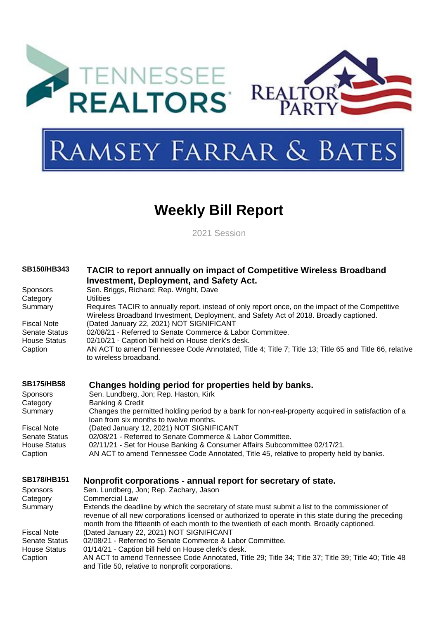

# **Weekly Bill Report**

2021 Session

| <b>SB150/HB343</b>                          | TACIR to report annually on impact of Competitive Wireless Broadband<br><b>Investment, Deployment, and Safety Act.</b>                                                                            |
|---------------------------------------------|---------------------------------------------------------------------------------------------------------------------------------------------------------------------------------------------------|
| <b>Sponsors</b><br>Category                 | Sen. Briggs, Richard; Rep. Wright, Dave<br><b>Utilities</b>                                                                                                                                       |
| Summary                                     | Requires TACIR to annually report, instead of only report once, on the impact of the Competitive<br>Wireless Broadband Investment, Deployment, and Safety Act of 2018. Broadly captioned.         |
| <b>Fiscal Note</b><br><b>Senate Status</b>  | (Dated January 22, 2021) NOT SIGNIFICANT<br>02/08/21 - Referred to Senate Commerce & Labor Committee.                                                                                             |
| <b>House Status</b><br>Caption              | 02/10/21 - Caption bill held on House clerk's desk.<br>AN ACT to amend Tennessee Code Annotated, Title 4; Title 7; Title 13; Title 65 and Title 66, relative<br>to wireless broadband.            |
| <b>SB175/HB58</b>                           | Changes holding period for properties held by banks.                                                                                                                                              |
| <b>Sponsors</b>                             | Sen. Lundberg, Jon; Rep. Haston, Kirk                                                                                                                                                             |
| Category<br>Summary                         | Banking & Credit<br>Changes the permitted holding period by a bank for non-real-property acquired in satisfaction of a<br>loan from six months to twelve months.                                  |
| <b>Fiscal Note</b>                          | (Dated January 12, 2021) NOT SIGNIFICANT                                                                                                                                                          |
| <b>Senate Status</b><br><b>House Status</b> | 02/08/21 - Referred to Senate Commerce & Labor Committee.<br>02/11/21 - Set for House Banking & Consumer Affairs Subcommittee 02/17/21.                                                           |
| Caption                                     | AN ACT to amend Tennessee Code Annotated, Title 45, relative to property held by banks.                                                                                                           |
| <b>SB178/HB151</b>                          | Nonprofit corporations - annual report for secretary of state.                                                                                                                                    |
| <b>Sponsors</b>                             | Sen. Lundberg, Jon; Rep. Zachary, Jason                                                                                                                                                           |
| Category<br>Summary                         | <b>Commercial Law</b><br>Extends the deadline by which the secretary of state must submit a list to the commissioner of                                                                           |
|                                             | revenue of all new corporations licensed or authorized to operate in this state during the preceding<br>month from the fifteenth of each month to the twentieth of each month. Broadly captioned. |
| <b>Fiscal Note</b>                          | (Dated January 22, 2021) NOT SIGNIFICANT                                                                                                                                                          |
| <b>Senate Status</b><br><b>House Status</b> | 02/08/21 - Referred to Senate Commerce & Labor Committee.<br>01/14/21 - Caption bill held on House clerk's desk.                                                                                  |
| Caption                                     | AN ACT to amend Tennessee Code Annotated, Title 29; Title 34; Title 37; Title 39; Title 40; Title 48<br>and Title 50, relative to nonprofit corporations.                                         |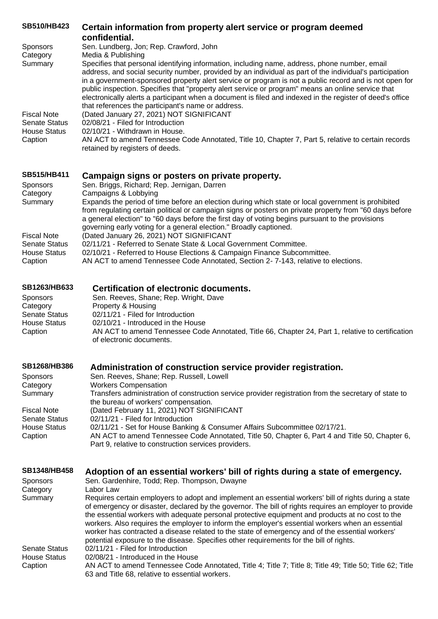| <b>SB510/HB423</b>   | Certain information from property alert service or program deemed<br>confidential.                                                                                                                                                                                                                                                                                                                                                                                                                                                                                                           |
|----------------------|----------------------------------------------------------------------------------------------------------------------------------------------------------------------------------------------------------------------------------------------------------------------------------------------------------------------------------------------------------------------------------------------------------------------------------------------------------------------------------------------------------------------------------------------------------------------------------------------|
| <b>Sponsors</b>      | Sen. Lundberg, Jon; Rep. Crawford, John                                                                                                                                                                                                                                                                                                                                                                                                                                                                                                                                                      |
| Category             | Media & Publishing                                                                                                                                                                                                                                                                                                                                                                                                                                                                                                                                                                           |
| Summary              | Specifies that personal identifying information, including name, address, phone number, email<br>address, and social security number, provided by an individual as part of the individual's participation<br>in a government-sponsored property alert service or program is not a public record and is not open for<br>public inspection. Specifies that "property alert service or program" means an online service that<br>electronically alerts a participant when a document is filed and indexed in the register of deed's office<br>that references the participant's name or address. |
| <b>Fiscal Note</b>   | (Dated January 27, 2021) NOT SIGNIFICANT                                                                                                                                                                                                                                                                                                                                                                                                                                                                                                                                                     |
| <b>Senate Status</b> | 02/08/21 - Filed for Introduction                                                                                                                                                                                                                                                                                                                                                                                                                                                                                                                                                            |
| House Status         | 02/10/21 - Withdrawn in House.                                                                                                                                                                                                                                                                                                                                                                                                                                                                                                                                                               |
| Caption              | AN ACT to amend Tennessee Code Annotated, Title 10, Chapter 7, Part 5, relative to certain records<br>retained by registers of deeds.                                                                                                                                                                                                                                                                                                                                                                                                                                                        |
| <b>SB515/HB411</b>   | Campaign signs or posters on private property.                                                                                                                                                                                                                                                                                                                                                                                                                                                                                                                                               |
| <b>Sponsors</b>      | Sen. Briggs, Richard; Rep. Jernigan, Darren                                                                                                                                                                                                                                                                                                                                                                                                                                                                                                                                                  |
| Category             | Campaigns & Lobbying                                                                                                                                                                                                                                                                                                                                                                                                                                                                                                                                                                         |
| Summary              | Expands the period of time before an election during which state or local government is prohibited<br>from requising certain political or campaign signs or posters on private property from "60 days before                                                                                                                                                                                                                                                                                                                                                                                 |

from regulating certain political or campaign signs or posters on private property from "60 days before a general election" to "60 days before the first day of voting begins pursuant to the provisions governing early voting for a general election." Broadly captioned. Fiscal Note (Dated January 26, 2021) NOT SIGNIFICANT Senate Status 02/11/21 - Referred to Senate State & Local Government Committee.<br>House Status 02/10/21 - Referred to House Elections & Campaign Finance Subcom House Status 02/10/21 - Referred to House Elections & Campaign Finance Subcommittee.<br>Caption 6. AN ACT to amend Tennessee Code Annotated, Section 2-7-143, relative to AN ACT to amend Tennessee Code Annotated, Section 2- 7-143, relative to elections.

| <b>SB1263/HB633</b> | Certification of electronic documents.                                                            |
|---------------------|---------------------------------------------------------------------------------------------------|
| Sponsors            | Sen. Reeves, Shane; Rep. Wright, Dave                                                             |
| Category            | Property & Housing                                                                                |
| Senate Status       | 02/11/21 - Filed for Introduction                                                                 |
| House Status        | 02/10/21 - Introduced in the House                                                                |
| Caption             | AN ACT to amend Tennessee Code Annotated, Title 66, Chapter 24, Part 1, relative to certification |
|                     | of electronic documents.                                                                          |

# **[SB1268/HB386](https://tls.mleesmith.com/2021-2022/pdf/SB1268.pdf) [Administration of construction service provider registration.](https://tls.mleesmith.com/2021-2022/pdf/SB1268.pdf)**

| <b>Sponsors</b>      | Sen. Reeves, Shane; Rep. Russell, Lowell                                                                                                      |
|----------------------|-----------------------------------------------------------------------------------------------------------------------------------------------|
| Category             | <b>Workers Compensation</b>                                                                                                                   |
| Summary              | Transfers administration of construction service provider registration from the secretary of state to<br>the bureau of workers' compensation. |
| <b>Fiscal Note</b>   | (Dated February 11, 2021) NOT SIGNIFICANT                                                                                                     |
| <b>Senate Status</b> | 02/11/21 - Filed for Introduction                                                                                                             |
| <b>House Status</b>  | 02/11/21 - Set for House Banking & Consumer Affairs Subcommittee 02/17/21.                                                                    |
| Caption              | AN ACT to amend Tennessee Code Annotated, Title 50, Chapter 6, Part 4 and Title 50, Chapter 6,                                                |
|                      | Part 9, relative to construction services providers.                                                                                          |

|  | SB1348/HB458 Adoption of an essential workers' bill of rights during a state of emergency. |  |  |
|--|--------------------------------------------------------------------------------------------|--|--|
|--|--------------------------------------------------------------------------------------------|--|--|

| <b>Sponsors</b> | Sen. Gardenhire, Todd; Rep. Thompson, Dwayne                                                                                                                                                                                                                                                                                                                                                                                                                                                                                                                                                                          |
|-----------------|-----------------------------------------------------------------------------------------------------------------------------------------------------------------------------------------------------------------------------------------------------------------------------------------------------------------------------------------------------------------------------------------------------------------------------------------------------------------------------------------------------------------------------------------------------------------------------------------------------------------------|
| Category        | Labor Law                                                                                                                                                                                                                                                                                                                                                                                                                                                                                                                                                                                                             |
| Summary         | Requires certain employers to adopt and implement an essential workers' bill of rights during a state<br>of emergency or disaster, declared by the governor. The bill of rights requires an employer to provide<br>the essential workers with adequate personal protective equipment and products at no cost to the<br>workers. Also requires the employer to inform the employer's essential workers when an essential<br>worker has contracted a disease related to the state of emergency and of the essential workers'<br>potential exposure to the disease. Specifies other requirements for the bill of rights. |
| Senate Status   | 02/11/21 - Filed for Introduction                                                                                                                                                                                                                                                                                                                                                                                                                                                                                                                                                                                     |
| House Status    | 02/08/21 - Introduced in the House                                                                                                                                                                                                                                                                                                                                                                                                                                                                                                                                                                                    |
| Caption         | AN ACT to amend Tennessee Code Annotated, Title 4; Title 7; Title 8; Title 49; Title 50; Title 62; Title<br>63 and Title 68, relative to essential workers.                                                                                                                                                                                                                                                                                                                                                                                                                                                           |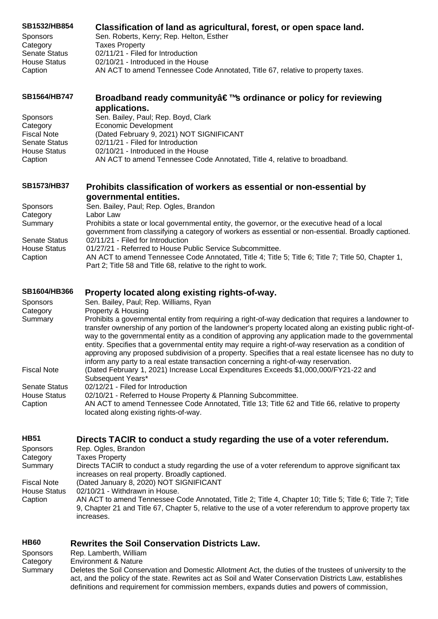| SB1532/HB854                                | Classification of land as agricultural, forest, or open space land.                                                                                                          |
|---------------------------------------------|------------------------------------------------------------------------------------------------------------------------------------------------------------------------------|
| <b>Sponsors</b>                             | Sen. Roberts, Kerry; Rep. Helton, Esther                                                                                                                                     |
| Category                                    | <b>Taxes Property</b>                                                                                                                                                        |
| <b>Senate Status</b>                        | 02/11/21 - Filed for Introduction                                                                                                                                            |
| <b>House Status</b>                         | 02/10/21 - Introduced in the House                                                                                                                                           |
| Caption                                     | AN ACT to amend Tennessee Code Annotated, Title 67, relative to property taxes.                                                                                              |
| <b>SB1564/HB747</b>                         | Broadband ready community's ordinance or policy for reviewing                                                                                                                |
|                                             | applications.                                                                                                                                                                |
| Sponsors                                    | Sen. Bailey, Paul; Rep. Boyd, Clark                                                                                                                                          |
| Category                                    | Economic Development                                                                                                                                                         |
| <b>Fiscal Note</b>                          | (Dated February 9, 2021) NOT SIGNIFICANT                                                                                                                                     |
| <b>Senate Status</b><br><b>House Status</b> | 02/11/21 - Filed for Introduction<br>02/10/21 - Introduced in the House                                                                                                      |
| Caption                                     | AN ACT to amend Tennessee Code Annotated, Title 4, relative to broadband.                                                                                                    |
|                                             |                                                                                                                                                                              |
| <b>SB1573/HB37</b>                          | Prohibits classification of workers as essential or non-essential by                                                                                                         |
|                                             | governmental entities.                                                                                                                                                       |
| <b>Sponsors</b>                             | Sen. Bailey, Paul; Rep. Ogles, Brandon                                                                                                                                       |
| Category                                    | Labor Law                                                                                                                                                                    |
| Summary                                     | Prohibits a state or local governmental entity, the governor, or the executive head of a local                                                                               |
| <b>Senate Status</b>                        | government from classifying a category of workers as essential or non-essential. Broadly captioned.<br>02/11/21 - Filed for Introduction                                     |
| <b>House Status</b>                         | 01/27/21 - Referred to House Public Service Subcommittee.                                                                                                                    |
| Caption                                     | AN ACT to amend Tennessee Code Annotated, Title 4; Title 5; Title 6; Title 7; Title 50, Chapter 1,                                                                           |
|                                             | Part 2; Title 58 and Title 68, relative to the right to work.                                                                                                                |
| <b>SB1604/HB366</b>                         |                                                                                                                                                                              |
|                                             | Property located along existing rights-of-way.                                                                                                                               |
| <b>Sponsors</b><br>Category                 | Sen. Bailey, Paul; Rep. Williams, Ryan<br>Property & Housing                                                                                                                 |
| Summary                                     | Prohibits a governmental entity from requiring a right-of-way dedication that requires a landowner to                                                                        |
|                                             | transfer ownership of any portion of the landowner's property located along an existing public right-of-                                                                     |
|                                             | way to the governmental entity as a condition of approving any application made to the governmental                                                                          |
|                                             | entity. Specifies that a governmental entity may require a right-of-way reservation as a condition of                                                                        |
|                                             | approving any proposed subdivision of a property. Specifies that a real estate licensee has no duty to                                                                       |
| <b>Fiscal Note</b>                          | inform any party to a real estate transaction concerning a right-of-way reservation.<br>(Dated February 1, 2021) Increase Local Expenditures Exceeds \$1,000,000/FY21-22 and |
|                                             | Subsequent Years*                                                                                                                                                            |
| <b>Senate Status</b>                        | 02/12/21 - Filed for Introduction                                                                                                                                            |
| <b>House Status</b>                         | 02/10/21 - Referred to House Property & Planning Subcommittee.                                                                                                               |
| Caption                                     | AN ACT to amend Tennessee Code Annotated, Title 13; Title 62 and Title 66, relative to property                                                                              |
|                                             | located along existing rights-of-way.                                                                                                                                        |
| <b>HB51</b>                                 | Directs TACIR to conduct a study regarding the use of a voter referendum.                                                                                                    |
| Sponsors                                    | Rep. Ogles, Brandon                                                                                                                                                          |
| Category                                    | <b>Taxes Property</b>                                                                                                                                                        |
| Summary                                     | Directs TACIR to conduct a study regarding the use of a voter referendum to approve significant tax                                                                          |
|                                             | increases on real property. Broadly captioned.                                                                                                                               |
| <b>Fiscal Note</b>                          | (Dated January 8, 2020) NOT SIGNIFICANT                                                                                                                                      |
| <b>House Status</b>                         | 02/10/21 - Withdrawn in House.                                                                                                                                               |
| Caption                                     | AN ACT to amend Tennessee Code Annotated, Title 2; Title 4, Chapter 10; Title 5; Title 6; Title 7; Title                                                                     |
|                                             | 9, Chapter 21 and Title 67, Chapter 5, relative to the use of a voter referendum to approve property tax<br>increases.                                                       |
|                                             |                                                                                                                                                                              |
| <b>HB60</b>                                 | <b>Rewrites the Soil Conservation Districts Law.</b>                                                                                                                         |
| Sponsors                                    | Rep. Lamberth, William                                                                                                                                                       |
| Category                                    | <b>Environment &amp; Nature</b>                                                                                                                                              |
| Summary                                     | Deletes the Soil Conservation and Domestic Allotment Act, the duties of the trustees of university to the                                                                    |

act, and the policy of the state. Rewrites act as Soil and Water Conservation Districts Law, establishes definitions and requirement for commission members, expands duties and powers of commission,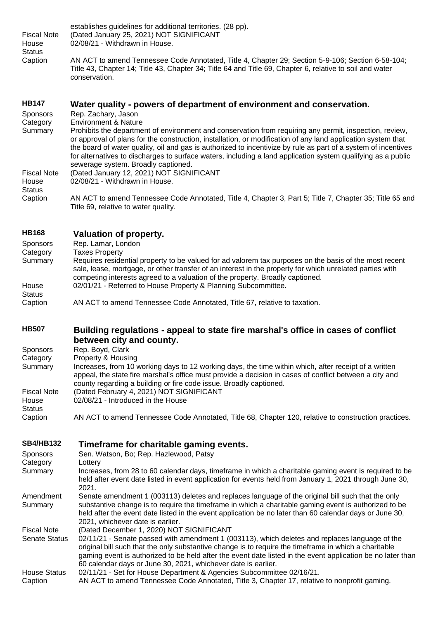| <b>Fiscal Note</b><br>House<br><b>Status</b><br>Caption | establishes guidelines for additional territories. (28 pp).<br>(Dated January 25, 2021) NOT SIGNIFICANT<br>02/08/21 - Withdrawn in House.<br>AN ACT to amend Tennessee Code Annotated, Title 4, Chapter 29; Section 5-9-106; Section 6-58-104;<br>Title 43, Chapter 14; Title 43, Chapter 34; Title 64 and Title 69, Chapter 6, relative to soil and water                                                                                                                                       |
|---------------------------------------------------------|--------------------------------------------------------------------------------------------------------------------------------------------------------------------------------------------------------------------------------------------------------------------------------------------------------------------------------------------------------------------------------------------------------------------------------------------------------------------------------------------------|
|                                                         | conservation.                                                                                                                                                                                                                                                                                                                                                                                                                                                                                    |
| <b>HB147</b><br>Sponsors<br>Category                    | Water quality - powers of department of environment and conservation.<br>Rep. Zachary, Jason<br><b>Environment &amp; Nature</b>                                                                                                                                                                                                                                                                                                                                                                  |
| Summary                                                 | Prohibits the department of environment and conservation from requiring any permit, inspection, review,<br>or approval of plans for the construction, installation, or modification of any land application system that<br>the board of water quality, oil and gas is authorized to incentivize by rule as part of a system of incentives<br>for alternatives to discharges to surface waters, including a land application system qualifying as a public<br>sewerage system. Broadly captioned. |
| <b>Fiscal Note</b><br>House<br><b>Status</b>            | (Dated January 12, 2021) NOT SIGNIFICANT<br>02/08/21 - Withdrawn in House.                                                                                                                                                                                                                                                                                                                                                                                                                       |
| Caption                                                 | AN ACT to amend Tennessee Code Annotated, Title 4, Chapter 3, Part 5; Title 7, Chapter 35; Title 65 and<br>Title 69, relative to water quality.                                                                                                                                                                                                                                                                                                                                                  |
| <b>HB168</b>                                            | <b>Valuation of property.</b>                                                                                                                                                                                                                                                                                                                                                                                                                                                                    |
| Sponsors                                                | Rep. Lamar, London                                                                                                                                                                                                                                                                                                                                                                                                                                                                               |
| Category<br>Summary                                     | <b>Taxes Property</b><br>Requires residential property to be valued for ad valorem tax purposes on the basis of the most recent<br>sale, lease, mortgage, or other transfer of an interest in the property for which unrelated parties with<br>competing interests agreed to a valuation of the property. Broadly captioned.                                                                                                                                                                     |
| House<br><b>Status</b>                                  | 02/01/21 - Referred to House Property & Planning Subcommittee.                                                                                                                                                                                                                                                                                                                                                                                                                                   |
| Caption                                                 | AN ACT to amend Tennessee Code Annotated, Title 67, relative to taxation.                                                                                                                                                                                                                                                                                                                                                                                                                        |
| <b>HB507</b>                                            | Building regulations - appeal to state fire marshal's office in cases of conflict                                                                                                                                                                                                                                                                                                                                                                                                                |
| Sponsors                                                | between city and county.<br>Rep. Boyd, Clark                                                                                                                                                                                                                                                                                                                                                                                                                                                     |
| Category                                                | Property & Housing                                                                                                                                                                                                                                                                                                                                                                                                                                                                               |
| Summary                                                 | Increases, from 10 working days to 12 working days, the time within which, after receipt of a written<br>appeal, the state fire marshal's office must provide a decision in cases of conflict between a city and<br>county regarding a building or fire code issue. Broadly captioned.                                                                                                                                                                                                           |
| <b>Fiscal Note</b><br>House<br><b>Status</b>            | (Dated February 4, 2021) NOT SIGNIFICANT<br>02/08/21 - Introduced in the House                                                                                                                                                                                                                                                                                                                                                                                                                   |
| Caption                                                 | AN ACT to amend Tennessee Code Annotated, Title 68, Chapter 120, relative to construction practices.                                                                                                                                                                                                                                                                                                                                                                                             |
|                                                         |                                                                                                                                                                                                                                                                                                                                                                                                                                                                                                  |

# **[SB4/HB132](https://tls.mleesmith.com/2021-2022/pdf/SB0004.pdf) [Timeframe for charitable gaming events.](https://tls.mleesmith.com/2021-2022/pdf/SB0004.pdf)**

| <b>Sponsors</b><br>Category | Sen. Watson, Bo; Rep. Hazlewood, Patsy<br>Lottery                                                                                                                                                                                                                                                                                                                                       |
|-----------------------------|-----------------------------------------------------------------------------------------------------------------------------------------------------------------------------------------------------------------------------------------------------------------------------------------------------------------------------------------------------------------------------------------|
| Summary                     | Increases, from 28 to 60 calendar days, timeframe in which a charitable gaming event is required to be<br>held after event date listed in event application for events held from January 1, 2021 through June 30,<br>2021.                                                                                                                                                              |
| Amendment                   | Senate amendment 1 (003113) deletes and replaces language of the original bill such that the only                                                                                                                                                                                                                                                                                       |
| Summary                     | substantive change is to require the timeframe in which a charitable gaming event is authorized to be                                                                                                                                                                                                                                                                                   |
|                             | held after the event date listed in the event application be no later than 60 calendar days or June 30,                                                                                                                                                                                                                                                                                 |
|                             | 2021, whichever date is earlier.                                                                                                                                                                                                                                                                                                                                                        |
| <b>Fiscal Note</b>          | (Dated December 1, 2020) NOT SIGNIFICANT                                                                                                                                                                                                                                                                                                                                                |
| <b>Senate Status</b>        | 02/11/21 - Senate passed with amendment 1 (003113), which deletes and replaces language of the<br>original bill such that the only substantive change is to require the timeframe in which a charitable<br>gaming event is authorized to be held after the event date listed in the event application be no later than<br>60 calendar days or June 30, 2021, whichever date is earlier. |
| House Status                | 02/11/21 - Set for House Department & Agencies Subcommittee 02/16/21.                                                                                                                                                                                                                                                                                                                   |
| Caption                     | AN ACT to amend Tennessee Code Annotated, Title 3, Chapter 17, relative to nonprofit gaming.                                                                                                                                                                                                                                                                                            |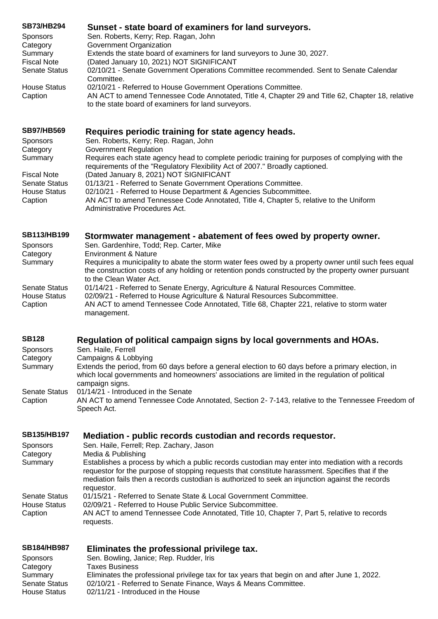| <b>SB73/HB294</b>    | Sunset - state board of examiners for land surveyors.                                                                                                   |
|----------------------|---------------------------------------------------------------------------------------------------------------------------------------------------------|
| <b>Sponsors</b>      | Sen. Roberts, Kerry; Rep. Ragan, John                                                                                                                   |
| Category             | Government Organization                                                                                                                                 |
| Summary              | Extends the state board of examiners for land surveyors to June 30, 2027.                                                                               |
| <b>Fiscal Note</b>   | (Dated January 10, 2021) NOT SIGNIFICANT                                                                                                                |
| <b>Senate Status</b> | 02/10/21 - Senate Government Operations Committee recommended. Sent to Senate Calendar                                                                  |
|                      | Committee.                                                                                                                                              |
| <b>House Status</b>  | 02/10/21 - Referred to House Government Operations Committee.                                                                                           |
| Caption              | AN ACT to amend Tennessee Code Annotated, Title 4, Chapter 29 and Title 62, Chapter 18, relative<br>to the state board of examiners for land surveyors. |
| <b>SB97/HB569</b>    | Requires periodic training for state agency heads.                                                                                                      |
| <b>Sponsors</b>      | Sen. Roberts, Kerry; Rep. Ragan, John                                                                                                                   |
| Category             | Government Regulation                                                                                                                                   |
| Summary              | Requires each state agency head to complete periodic training for purposes of complying with the                                                        |

|                     | requirements of the "Regulatory Flexibility Act of 2007." Broadly captioned.                                            |
|---------------------|-------------------------------------------------------------------------------------------------------------------------|
| Fiscal Note         | (Dated January 8, 2021) NOT SIGNIFICANT                                                                                 |
| Senate Status       | 01/13/21 - Referred to Senate Government Operations Committee.                                                          |
| <b>House Status</b> | 02/10/21 - Referred to House Department & Agencies Subcommittee.                                                        |
| Caption             | AN ACT to amend Tennessee Code Annotated, Title 4, Chapter 5, relative to the Uniform<br>Administrative Procedures Act. |

# **[SB113/HB199](https://tls.mleesmith.com/2021-2022/pdf/SB0113.pdf) Stormwater management - [abatement of fees owed by property owner.](https://tls.mleesmith.com/2021-2022/pdf/SB0113.pdf)**

| Sen. Gardenhire, Todd; Rep. Carter, Mike                                                             |
|------------------------------------------------------------------------------------------------------|
| <b>Environment &amp; Nature</b>                                                                      |
| Requires a municipality to abate the storm water fees owed by a property owner until such fees equal |
| the construction costs of any holding or retention ponds constructed by the property owner pursuant  |
| to the Clean Water Act.                                                                              |
| 01/14/21 - Referred to Senate Energy, Agriculture & Natural Resources Committee.                     |
| 02/09/21 - Referred to House Agriculture & Natural Resources Subcommittee.                           |
| AN ACT to amend Tennessee Code Annotated, Title 68, Chapter 221, relative to storm water             |
| management.                                                                                          |
|                                                                                                      |

# **[SB128](https://tls.mleesmith.com/2021-2022/pdf/SB0128.pdf) [Regulation of political campaign signs by local governments and HOAs.](https://tls.mleesmith.com/2021-2022/pdf/SB0128.pdf)**

| Sponsors      | Sen. Haile, Ferrell                                                                                                                                                                                                       |
|---------------|---------------------------------------------------------------------------------------------------------------------------------------------------------------------------------------------------------------------------|
| Category      | Campaigns & Lobbying                                                                                                                                                                                                      |
| Summary       | Extends the period, from 60 days before a general election to 60 days before a primary election, in<br>which local governments and homeowners' associations are limited in the regulation of political<br>campaign signs. |
| Senate Status | 01/14/21 - Introduced in the Senate                                                                                                                                                                                       |
| Caption       | AN ACT to amend Tennessee Code Annotated, Section 2-7-143, relative to the Tennessee Freedom of<br>Speech Act.                                                                                                            |

# **[SB135/HB197](https://tls.mleesmith.com/2021-2022/pdf/SB0135.pdf) Mediation - [public records custodian and records requestor.](https://tls.mleesmith.com/2021-2022/pdf/SB0135.pdf)**

| <b>Sponsors</b>                                 | Sen. Haile, Ferrell; Rep. Zachary, Jason                                                                                                                                                                                                                                                                                |
|-------------------------------------------------|-------------------------------------------------------------------------------------------------------------------------------------------------------------------------------------------------------------------------------------------------------------------------------------------------------------------------|
| Category                                        | Media & Publishing                                                                                                                                                                                                                                                                                                      |
| Summary                                         | Establishes a process by which a public records custodian may enter into mediation with a records<br>requestor for the purpose of stopping requests that constitute harassment. Specifies that if the<br>mediation fails then a records custodian is authorized to seek an injunction against the records<br>requestor. |
| <b>Senate Status</b><br>House Status<br>Caption | 01/15/21 - Referred to Senate State & Local Government Committee.<br>02/09/21 - Referred to House Public Service Subcommittee.<br>AN ACT to amend Tennessee Code Annotated, Title 10, Chapter 7, Part 5, relative to records<br>requests.                                                                               |
|                                                 |                                                                                                                                                                                                                                                                                                                         |

# **[SB184/HB987](https://tls.mleesmith.com/2021-2022/pdf/SB0184.pdf) [Eliminates the professional privilege tax.](https://tls.mleesmith.com/2021-2022/pdf/SB0184.pdf)**

| <b>Sponsors</b> | Sen. Bowling, Janice; Rep. Rudder, Iris                                                       |
|-----------------|-----------------------------------------------------------------------------------------------|
| Category        | <b>Taxes Business</b>                                                                         |
| Summary         | Eliminates the professional privilege tax for tax years that begin on and after June 1, 2022. |
| Senate Status   | 02/10/21 - Referred to Senate Finance, Ways & Means Committee.                                |
| House Status    | 02/11/21 - Introduced in the House                                                            |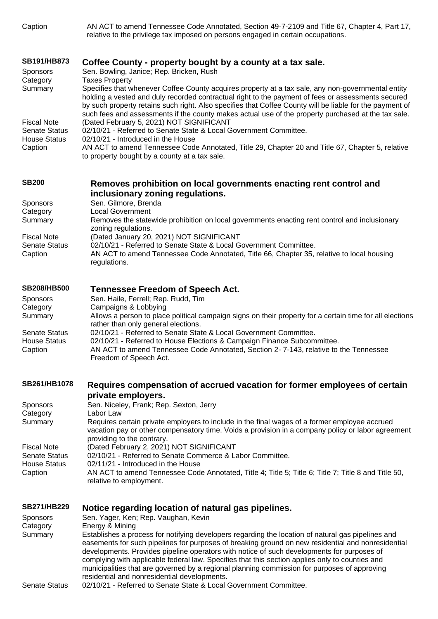| Caption |
|---------|
|         |

AN ACT to amend Tennessee Code Annotated, Section 49-7-2109 and Title 67, Chapter 4, Part 17, relative to the privilege tax imposed on persons engaged in certain occupations.

# **[SB191/HB873](https://tls.mleesmith.com/2021-2022/pdf/SB0191.pdf) Coffee County - [property bought by a county at a tax sale.](https://tls.mleesmith.com/2021-2022/pdf/SB0191.pdf)**

| <b>Sponsors</b>                             | Sen. Bowling, Janice; Rep. Bricken, Rush                                                                                                                                                                                                                                                                                                                                                                                    |
|---------------------------------------------|-----------------------------------------------------------------------------------------------------------------------------------------------------------------------------------------------------------------------------------------------------------------------------------------------------------------------------------------------------------------------------------------------------------------------------|
| Category                                    | Taxes Property                                                                                                                                                                                                                                                                                                                                                                                                              |
| Summary                                     | Specifies that whenever Coffee County acquires property at a tax sale, any non-governmental entity<br>holding a vested and duly recorded contractual right to the payment of fees or assessments secured<br>by such property retains such right. Also specifies that Coffee County will be liable for the payment of<br>such fees and assessments if the county makes actual use of the property purchased at the tax sale. |
| <b>Fiscal Note</b>                          | (Dated February 5, 2021) NOT SIGNIFICANT                                                                                                                                                                                                                                                                                                                                                                                    |
| <b>Senate Status</b><br><b>House Status</b> | 02/10/21 - Referred to Senate State & Local Government Committee.<br>02/10/21 - Introduced in the House                                                                                                                                                                                                                                                                                                                     |
| Caption                                     | AN ACT to amend Tennessee Code Annotated, Title 29, Chapter 20 and Title 67, Chapter 5, relative<br>to property bought by a county at a tax sale.                                                                                                                                                                                                                                                                           |

# **[SB200](https://tls.mleesmith.com/2021-2022/pdf/SB0200.pdf) [Removes prohibition on local governments enacting rent control and](https://tls.mleesmith.com/2021-2022/pdf/SB0200.pdf)  [inclusionary zoning regulations.](https://tls.mleesmith.com/2021-2022/pdf/SB0200.pdf)**

| <b>Sponsors</b>      | Sen. Gilmore, Brenda                                                                                                 |
|----------------------|----------------------------------------------------------------------------------------------------------------------|
| Category             | <b>Local Government</b>                                                                                              |
| Summary              | Removes the statewide prohibition on local governments enacting rent control and inclusionary<br>zoning regulations. |
| Fiscal Note          | (Dated January 20, 2021) NOT SIGNIFICANT                                                                             |
| <b>Senate Status</b> | 02/10/21 - Referred to Senate State & Local Government Committee.                                                    |
| Caption              | AN ACT to amend Tennessee Code Annotated, Title 66, Chapter 35, relative to local housing<br>regulations.            |

# **[SB208/HB500](https://tls.mleesmith.com/2021-2022/pdf/SB0208.pdf) [Tennessee Freedom of Speech Act.](https://tls.mleesmith.com/2021-2022/pdf/SB0208.pdf)**

| <b>Sponsors</b>      | Sen. Haile, Ferrell; Rep. Rudd, Tim                                                                                                             |
|----------------------|-------------------------------------------------------------------------------------------------------------------------------------------------|
| Category             | Campaigns & Lobbying                                                                                                                            |
| Summary              | Allows a person to place political campaign signs on their property for a certain time for all elections<br>rather than only general elections. |
| <b>Senate Status</b> | 02/10/21 - Referred to Senate State & Local Government Committee.                                                                               |
| <b>House Status</b>  | 02/10/21 - Referred to House Elections & Campaign Finance Subcommittee.                                                                         |
| Caption              | AN ACT to amend Tennessee Code Annotated, Section 2-7-143, relative to the Tennessee                                                            |
|                      | Freedom of Speech Act.                                                                                                                          |

# **[SB261/HB1078](https://tls.mleesmith.com/2021-2022/pdf/SB0261.pdf) [Requires compensation of accrued vacation for former employees of certain](https://tls.mleesmith.com/2021-2022/pdf/SB0261.pdf)  [private employers.](https://tls.mleesmith.com/2021-2022/pdf/SB0261.pdf)**

| <b>Sponsors</b>      | Sen. Niceley, Frank; Rep. Sexton, Jerry                                                                                                                                                                                          |
|----------------------|----------------------------------------------------------------------------------------------------------------------------------------------------------------------------------------------------------------------------------|
| Category             | Labor Law                                                                                                                                                                                                                        |
| Summary              | Requires certain private employers to include in the final wages of a former employee accrued<br>vacation pay or other compensatory time. Voids a provision in a company policy or labor agreement<br>providing to the contrary. |
| <b>Fiscal Note</b>   | (Dated February 2, 2021) NOT SIGNIFICANT                                                                                                                                                                                         |
| <b>Senate Status</b> | 02/10/21 - Referred to Senate Commerce & Labor Committee.                                                                                                                                                                        |
| <b>House Status</b>  | 02/11/21 - Introduced in the House                                                                                                                                                                                               |
| Caption              | AN ACT to amend Tennessee Code Annotated, Title 4; Title 5; Title 6; Title 7; Title 8 and Title 50,<br>relative to employment.                                                                                                   |

#### **[SB271/HB229](https://tls.mleesmith.com/2021-2022/pdf/SB0271.pdf) [Notice regarding location of natural gas pipelines.](https://tls.mleesmith.com/2021-2022/pdf/SB0271.pdf)**

| <b>Sponsors</b> | Sen. Yager, Ken; Rep. Vaughan, Kevin                                                                                                                                                                                                                                                                                                                                                                                                                                                                                                                      |
|-----------------|-----------------------------------------------------------------------------------------------------------------------------------------------------------------------------------------------------------------------------------------------------------------------------------------------------------------------------------------------------------------------------------------------------------------------------------------------------------------------------------------------------------------------------------------------------------|
| Category        | Energy & Mining                                                                                                                                                                                                                                                                                                                                                                                                                                                                                                                                           |
| Summary         | Establishes a process for notifying developers regarding the location of natural gas pipelines and<br>easements for such pipelines for purposes of breaking ground on new residential and nonresidential<br>developments. Provides pipeline operators with notice of such developments for purposes of<br>complying with applicable federal law. Specifies that this section applies only to counties and<br>municipalities that are governed by a regional planning commission for purposes of approving<br>residential and nonresidential developments. |
| Conoto Ctotuo   | 02/10/21 Peterrad to Cenate State 8 Local Covernment Committee                                                                                                                                                                                                                                                                                                                                                                                                                                                                                            |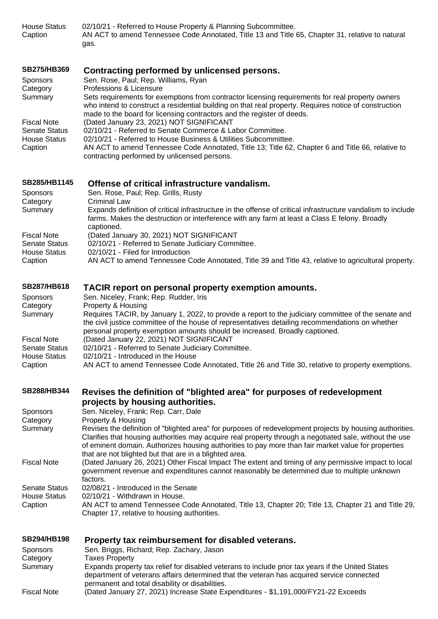House Status 02/10/21 - Referred to House Property & Planning Subcommittee. Caption AN ACT to amend Tennessee Code Annotated, Title 13 and Title 65, Chapter 31, relative to natural gas.

# **[SB275/HB369](https://tls.mleesmith.com/2021-2022/pdf/SB0275.pdf) [Contracting performed by unlicensed persons.](https://tls.mleesmith.com/2021-2022/pdf/SB0275.pdf)**

| <b>Sponsors</b>      | Sen. Rose, Paul; Rep. Williams, Ryan                                                                                                                                                                                                                                                |
|----------------------|-------------------------------------------------------------------------------------------------------------------------------------------------------------------------------------------------------------------------------------------------------------------------------------|
| Category             | Professions & Licensure                                                                                                                                                                                                                                                             |
| Summary              | Sets requirements for exemptions from contractor licensing requirements for real property owners<br>who intend to construct a residential building on that real property. Requires notice of construction<br>made to the board for licensing contractors and the register of deeds. |
| <b>Fiscal Note</b>   | (Dated January 23, 2021) NOT SIGNIFICANT                                                                                                                                                                                                                                            |
| <b>Senate Status</b> | 02/10/21 - Referred to Senate Commerce & Labor Committee.                                                                                                                                                                                                                           |
| <b>House Status</b>  | 02/10/21 - Referred to House Business & Utilities Subcommittee.                                                                                                                                                                                                                     |
| Caption              | AN ACT to amend Tennessee Code Annotated, Title 13; Title 62, Chapter 6 and Title 66, relative to<br>contracting performed by unlicensed persons.                                                                                                                                   |
|                      |                                                                                                                                                                                                                                                                                     |

# **[SB285/HB1145](https://tls.mleesmith.com/2021-2022/pdf/SB0285.pdf) [Offense of critical infrastructure vandalism.](https://tls.mleesmith.com/2021-2022/pdf/SB0285.pdf)**

| Sponsors             | Sen. Rose, Paul; Rep. Grills, Rusty                                                                          |
|----------------------|--------------------------------------------------------------------------------------------------------------|
| Category             | Criminal Law                                                                                                 |
| Summary              | Expands definition of critical infrastructure in the offense of critical infrastructure vandalism to include |
|                      | farms. Makes the destruction or interference with any farm at least a Class E felony. Broadly                |
|                      | captioned.                                                                                                   |
| <b>Fiscal Note</b>   | (Dated January 30, 2021) NOT SIGNIFICANT                                                                     |
| <b>Senate Status</b> | 02/10/21 - Referred to Senate Judiciary Committee.                                                           |
| House Status         | 02/10/21 - Filed for Introduction                                                                            |
| Caption              | AN ACT to amend Tennessee Code Annotated, Title 39 and Title 43, relative to agricultural property.          |

#### **[SB287/HB618](https://tls.mleesmith.com/2021-2022/pdf/SB0287.pdf) [TACIR report on personal property exemption amounts.](https://tls.mleesmith.com/2021-2022/pdf/SB0287.pdf)**

| <b>Sponsors</b>      | Sen. Niceley, Frank; Rep. Rudder, Iris                                                                                                                                                                                                                                                  |
|----------------------|-----------------------------------------------------------------------------------------------------------------------------------------------------------------------------------------------------------------------------------------------------------------------------------------|
| Category             | Property & Housing                                                                                                                                                                                                                                                                      |
| Summary              | Requires TACIR, by January 1, 2022, to provide a report to the judiciary committee of the senate and<br>the civil justice committee of the house of representatives detailing recommendations on whether<br>personal property exemption amounts should be increased. Broadly captioned. |
| <b>Fiscal Note</b>   | (Dated January 22, 2021) NOT SIGNIFICANT                                                                                                                                                                                                                                                |
| <b>Senate Status</b> | 02/10/21 - Referred to Senate Judiciary Committee.                                                                                                                                                                                                                                      |
| <b>House Status</b>  | 02/10/21 - Introduced in the House                                                                                                                                                                                                                                                      |
| Caption              | AN ACT to amend Tennessee Code Annotated, Title 26 and Title 30, relative to property exemptions.                                                                                                                                                                                       |

# **[SB288/HB344](https://tls.mleesmith.com/2021-2022/pdf/SB0288.pdf) [Revises the definition of "blighted area" for purposes of redevelopment](https://tls.mleesmith.com/2021-2022/pdf/SB0288.pdf)  [projects by housing authorities.](https://tls.mleesmith.com/2021-2022/pdf/SB0288.pdf)**

| <b>Sponsors</b>      | Sen. Niceley, Frank; Rep. Carr, Dale                                                                                                                                                                                                                                                                                                                                                 |
|----------------------|--------------------------------------------------------------------------------------------------------------------------------------------------------------------------------------------------------------------------------------------------------------------------------------------------------------------------------------------------------------------------------------|
| Category             | Property & Housing                                                                                                                                                                                                                                                                                                                                                                   |
| Summary              | Revises the definition of "blighted area" for purposes of redevelopment projects by housing authorities.<br>Clarifies that housing authorities may acquire real property through a negotiated sale, without the use<br>of eminent domain. Authorizes housing authorities to pay more than fair market value for properties<br>that are not blighted but that are in a blighted area. |
| <b>Fiscal Note</b>   | (Dated January 26, 2021) Other Fiscal Impact The extent and timing of any permissive impact to local<br>government revenue and expenditures cannot reasonably be determined due to multiple unknown<br>factors.                                                                                                                                                                      |
| <b>Senate Status</b> | 02/08/21 - Introduced in the Senate                                                                                                                                                                                                                                                                                                                                                  |
| House Status         | 02/10/21 - Withdrawn in House.                                                                                                                                                                                                                                                                                                                                                       |
| Caption              | AN ACT to amend Tennessee Code Annotated, Title 13, Chapter 20; Title 13, Chapter 21 and Title 29,<br>Chapter 17, relative to housing authorities.                                                                                                                                                                                                                                   |

#### **[SB294/HB198](https://tls.mleesmith.com/2021-2022/pdf/SB0294.pdf) [Property tax reimbursement for disabled veterans.](https://tls.mleesmith.com/2021-2022/pdf/SB0294.pdf)**

| Sponsors           | Sen. Briggs, Richard; Rep. Zachary, Jason                                                                                                                                                                                                         |
|--------------------|---------------------------------------------------------------------------------------------------------------------------------------------------------------------------------------------------------------------------------------------------|
| Category           | <b>Taxes Property</b>                                                                                                                                                                                                                             |
| Summary            | Expands property tax relief for disabled veterans to include prior tax years if the United States<br>department of veterans affairs determined that the veteran has acquired service connected<br>permanent and total disability or disabilities. |
| <b>Fiscal Note</b> | (Dated January 27, 2021) Increase State Expenditures - \$1,191,000/FY21-22 Exceeds                                                                                                                                                                |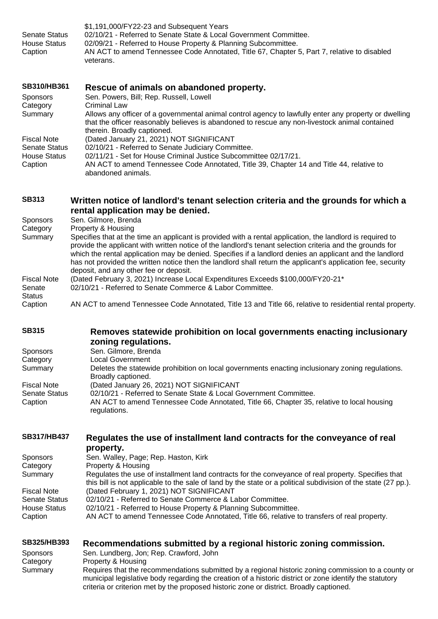| <b>Senate Status</b><br><b>House Status</b><br>Caption | \$1,191,000/FY22-23 and Subsequent Years<br>02/10/21 - Referred to Senate State & Local Government Committee.<br>02/09/21 - Referred to House Property & Planning Subcommittee.<br>AN ACT to amend Tennessee Code Annotated, Title 67, Chapter 5, Part 7, relative to disabled<br>veterans.                                                                                                                                                                   |
|--------------------------------------------------------|---------------------------------------------------------------------------------------------------------------------------------------------------------------------------------------------------------------------------------------------------------------------------------------------------------------------------------------------------------------------------------------------------------------------------------------------------------------|
| SB310/HB361<br>Sponsors<br>Category                    | Rescue of animals on abandoned property.<br>Sen. Powers, Bill; Rep. Russell, Lowell<br><b>Criminal Law</b>                                                                                                                                                                                                                                                                                                                                                    |
| Summary                                                | Allows any officer of a governmental animal control agency to lawfully enter any property or dwelling<br>that the officer reasonably believes is abandoned to rescue any non-livestock animal contained<br>therein. Broadly captioned.                                                                                                                                                                                                                        |
| <b>Fiscal Note</b>                                     | (Dated January 21, 2021) NOT SIGNIFICANT                                                                                                                                                                                                                                                                                                                                                                                                                      |
| <b>Senate Status</b><br><b>House Status</b>            | 02/10/21 - Referred to Senate Judiciary Committee.<br>02/11/21 - Set for House Criminal Justice Subcommittee 02/17/21.                                                                                                                                                                                                                                                                                                                                        |
| Caption                                                | AN ACT to amend Tennessee Code Annotated, Title 39, Chapter 14 and Title 44, relative to<br>abandoned animals.                                                                                                                                                                                                                                                                                                                                                |
| <b>SB313</b>                                           | Written notice of landlord's tenant selection criteria and the grounds for which a<br>rental application may be denied.                                                                                                                                                                                                                                                                                                                                       |
| Sponsors                                               | Sen. Gilmore, Brenda                                                                                                                                                                                                                                                                                                                                                                                                                                          |
| Category                                               | Property & Housing                                                                                                                                                                                                                                                                                                                                                                                                                                            |
| Summary                                                | Specifies that at the time an applicant is provided with a rental application, the landlord is required to<br>provide the applicant with written notice of the landlord's tenant selection criteria and the grounds for<br>which the rental application may be denied. Specifies if a landlord denies an applicant and the landlord<br>بالمرزوجات والمتحا وروائه والمتحال والمستحير والاستربابهم المتام المواطئ والمتحا والمتحالة والمتحاسبين والمتحادث ووادي |

has not provided the written notice then the landlord shall return the applicant's application fee, security deposit, and any other fee or deposit. Fiscal Note (Dated February 3, 2021) Increase Local Expenditures Exceeds \$100,000/FY20-21\*

Senate 02/10/21 - Referred to Senate Commerce & Labor Committee.

Status<br>Caption

AN ACT to amend Tennessee Code Annotated, Title 13 and Title 66, relative to residential rental property.

#### **[SB315](https://tls.mleesmith.com/2021-2022/pdf/SB0315.pdf) [Removes statewide prohibition on local governments enacting inclusionary](https://tls.mleesmith.com/2021-2022/pdf/SB0315.pdf)  [zoning regulations.](https://tls.mleesmith.com/2021-2022/pdf/SB0315.pdf)**

| <b>Sponsors</b>    | Sen. Gilmore, Brenda                                                                                                   |
|--------------------|------------------------------------------------------------------------------------------------------------------------|
| Category           | Local Government                                                                                                       |
| Summary            | Deletes the statewide prohibition on local governments enacting inclusionary zoning regulations.<br>Broadly captioned. |
| <b>Fiscal Note</b> | (Dated January 26, 2021) NOT SIGNIFICANT                                                                               |
| Senate Status      | 02/10/21 - Referred to Senate State & Local Government Committee.                                                      |
| Caption            | AN ACT to amend Tennessee Code Annotated, Title 66, Chapter 35, relative to local housing<br>regulations.              |
|                    |                                                                                                                        |

#### **[SB317/HB437](https://tls.mleesmith.com/2021-2022/pdf/SB0317.pdf) [Regulates the use of installment land contracts for the conveyance of real](https://tls.mleesmith.com/2021-2022/pdf/SB0317.pdf)  [property.](https://tls.mleesmith.com/2021-2022/pdf/SB0317.pdf)**

|                      | <b>DI ODEI LY.</b>                                                                                                                                                                                                    |
|----------------------|-----------------------------------------------------------------------------------------------------------------------------------------------------------------------------------------------------------------------|
| <b>Sponsors</b>      | Sen. Walley, Page; Rep. Haston, Kirk                                                                                                                                                                                  |
| Category             | Property & Housing                                                                                                                                                                                                    |
| Summary              | Regulates the use of installment land contracts for the conveyance of real property. Specifies that<br>this bill is not applicable to the sale of land by the state or a political subdivision of the state (27 pp.). |
| <b>Fiscal Note</b>   | (Dated February 1, 2021) NOT SIGNIFICANT                                                                                                                                                                              |
| <b>Senate Status</b> | 02/10/21 - Referred to Senate Commerce & Labor Committee.                                                                                                                                                             |
| <b>House Status</b>  | 02/10/21 - Referred to House Property & Planning Subcommittee.                                                                                                                                                        |
| Caption              | AN ACT to amend Tennessee Code Annotated, Title 66, relative to transfers of real property.                                                                                                                           |
|                      |                                                                                                                                                                                                                       |

# **[SB325/HB393](https://tls.mleesmith.com/2021-2022/pdf/SB0325.pdf) [Recommendations submitted by a regional historic zoning commission.](https://tls.mleesmith.com/2021-2022/pdf/SB0325.pdf)**

| <b>Sponsors</b> | Sen. Lundberg, Jon; Rep. Crawford, John                                                                                                                                                                        |
|-----------------|----------------------------------------------------------------------------------------------------------------------------------------------------------------------------------------------------------------|
| Category        | Property & Housing                                                                                                                                                                                             |
| Summary         | Requires that the recommendations submitted by a regional historic zoning commission to a county or<br>municipal legislative body regarding the creation of a historic district or zone identify the statutory |
|                 | criteria or criterion met by the proposed historic zone or district. Broadly captioned.                                                                                                                        |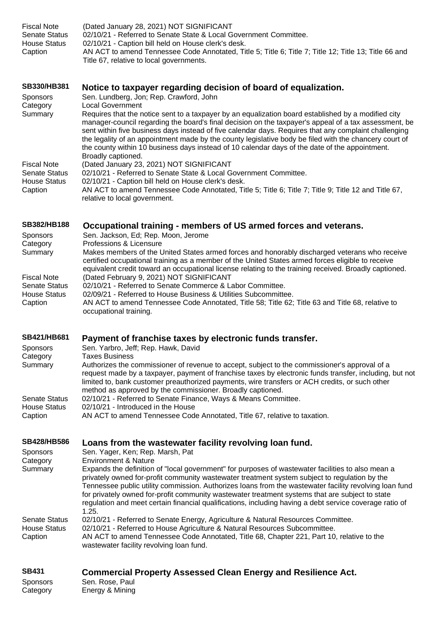# **[SB330/HB381](https://tls.mleesmith.com/2021-2022/pdf/SB0330.pdf) [Notice to taxpayer regarding decision of board of equalization.](https://tls.mleesmith.com/2021-2022/pdf/SB0330.pdf)**

| <b>Sponsors</b><br>Category                 | Sen. Lundberg, Jon; Rep. Crawford, John<br><b>Local Government</b>                                                                                                                                                                                                                                                                                                                                                                                                                                                                                      |
|---------------------------------------------|---------------------------------------------------------------------------------------------------------------------------------------------------------------------------------------------------------------------------------------------------------------------------------------------------------------------------------------------------------------------------------------------------------------------------------------------------------------------------------------------------------------------------------------------------------|
| Summary                                     | Requires that the notice sent to a taxpayer by an equalization board established by a modified city<br>manager-council regarding the board's final decision on the taxpayer's appeal of a tax assessment, be<br>sent within five business days instead of five calendar days. Requires that any complaint challenging<br>the legality of an appointment made by the county legislative body be filed with the chancery court of<br>the county within 10 business days instead of 10 calendar days of the date of the appointment.<br>Broadly captioned. |
| <b>Fiscal Note</b>                          | (Dated January 23, 2021) NOT SIGNIFICANT                                                                                                                                                                                                                                                                                                                                                                                                                                                                                                                |
| <b>Senate Status</b><br><b>House Status</b> | 02/10/21 - Referred to Senate State & Local Government Committee.<br>02/10/21 - Caption bill held on House clerk's desk.                                                                                                                                                                                                                                                                                                                                                                                                                                |
| Caption                                     | AN ACT to amend Tennessee Code Annotated, Title 5; Title 6; Title 7; Title 9; Title 12 and Title 67,<br>relative to local government.                                                                                                                                                                                                                                                                                                                                                                                                                   |

# **[SB382/HB188](https://tls.mleesmith.com/2021-2022/pdf/SB0382.pdf) Occupational training - [members of US armed forces and veterans.](https://tls.mleesmith.com/2021-2022/pdf/SB0382.pdf)**

| <b>Sponsors</b>      | Sen. Jackson, Ed; Rep. Moon, Jerome                                                                                                                                                                                                                                                                          |
|----------------------|--------------------------------------------------------------------------------------------------------------------------------------------------------------------------------------------------------------------------------------------------------------------------------------------------------------|
| Category             | Professions & Licensure                                                                                                                                                                                                                                                                                      |
| Summary              | Makes members of the United States armed forces and honorably discharged veterans who receive<br>certified occupational training as a member of the United States armed forces eligible to receive<br>equivalent credit toward an occupational license relating to the training received. Broadly captioned. |
| <b>Fiscal Note</b>   | (Dated February 9, 2021) NOT SIGNIFICANT                                                                                                                                                                                                                                                                     |
| <b>Senate Status</b> | 02/10/21 - Referred to Senate Commerce & Labor Committee.                                                                                                                                                                                                                                                    |
| House Status         | 02/09/21 - Referred to House Business & Utilities Subcommittee.                                                                                                                                                                                                                                              |
| Caption              | AN ACT to amend Tennessee Code Annotated, Title 58; Title 62; Title 63 and Title 68, relative to<br>occupational training.                                                                                                                                                                                   |

# **[SB421/HB681](https://tls.mleesmith.com/2021-2022/pdf/SB0421.pdf) [Payment of franchise taxes by electronic funds](https://tls.mleesmith.com/2021-2022/pdf/SB0421.pdf) transfer.**

| <b>Sponsors</b> | Sen. Yarbro, Jeff; Rep. Hawk, David                                                                                                                                                                                                                                                                                                                                      |
|-----------------|--------------------------------------------------------------------------------------------------------------------------------------------------------------------------------------------------------------------------------------------------------------------------------------------------------------------------------------------------------------------------|
| Category        | Taxes Business                                                                                                                                                                                                                                                                                                                                                           |
| Summary         | Authorizes the commissioner of revenue to accept, subject to the commissioner's approval of a<br>request made by a taxpayer, payment of franchise taxes by electronic funds transfer, including, but not<br>limited to, bank customer preauthorized payments, wire transfers or ACH credits, or such other<br>method as approved by the commissioner. Broadly captioned. |
| Senate Status   | 02/10/21 - Referred to Senate Finance, Ways & Means Committee.                                                                                                                                                                                                                                                                                                           |
| House Status    | 02/10/21 - Introduced in the House                                                                                                                                                                                                                                                                                                                                       |
| Caption         | AN ACT to amend Tennessee Code Annotated, Title 67, relative to taxation.                                                                                                                                                                                                                                                                                                |
|                 |                                                                                                                                                                                                                                                                                                                                                                          |

# **[SB428/HB586](https://tls.mleesmith.com/2021-2022/pdf/SB0428.pdf) [Loans from the wastewater facility revolving loan fund.](https://tls.mleesmith.com/2021-2022/pdf/SB0428.pdf)**

| <b>Sponsors</b><br>Category<br>Summary                 | Sen. Yager, Ken; Rep. Marsh, Pat<br><b>Environment &amp; Nature</b><br>Expands the definition of "local government" for purposes of wastewater facilities to also mean a<br>privately owned for-profit community wastewater treatment system subject to regulation by the<br>Tennessee public utility commission. Authorizes loans from the wastewater facility revolving loan fund<br>for privately owned for-profit community wastewater treatment systems that are subject to state<br>regulation and meet certain financial qualifications, including having a debt service coverage ratio of<br>1.25. |
|--------------------------------------------------------|------------------------------------------------------------------------------------------------------------------------------------------------------------------------------------------------------------------------------------------------------------------------------------------------------------------------------------------------------------------------------------------------------------------------------------------------------------------------------------------------------------------------------------------------------------------------------------------------------------|
| <b>Senate Status</b><br><b>House Status</b><br>Caption | 02/10/21 - Referred to Senate Energy, Agriculture & Natural Resources Committee.<br>02/10/21 - Referred to House Agriculture & Natural Resources Subcommittee.<br>AN ACT to amend Tennessee Code Annotated, Title 68, Chapter 221, Part 10, relative to the<br>wastewater facility revolving loan fund.                                                                                                                                                                                                                                                                                                    |
| <b>SB431</b>                                           | <b>Commercial Property Assessed Clean Energy and Resilience Act.</b>                                                                                                                                                                                                                                                                                                                                                                                                                                                                                                                                       |

Sponsors Sen. Rose, Paul Category Energy & Mining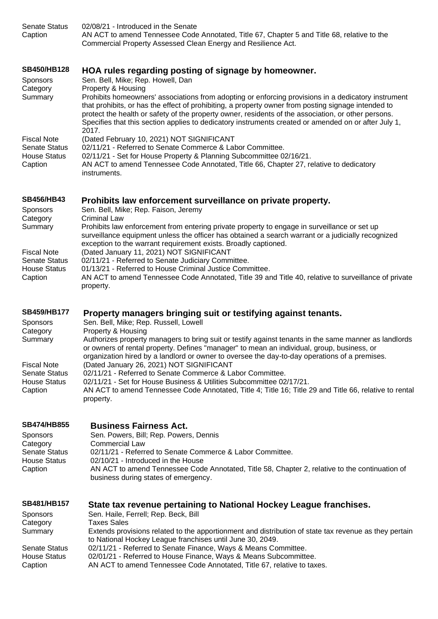| <b>Senate Status</b><br>Caption                                                                                                | 02/08/21 - Introduced in the Senate<br>AN ACT to amend Tennessee Code Annotated, Title 67, Chapter 5 and Title 68, relative to the<br>Commercial Property Assessed Clean Energy and Resilience Act.                                                                                                                                                                                                                                                                                                                                                                                                                                                                                                                                           |
|--------------------------------------------------------------------------------------------------------------------------------|-----------------------------------------------------------------------------------------------------------------------------------------------------------------------------------------------------------------------------------------------------------------------------------------------------------------------------------------------------------------------------------------------------------------------------------------------------------------------------------------------------------------------------------------------------------------------------------------------------------------------------------------------------------------------------------------------------------------------------------------------|
| <b>SB450/HB128</b><br><b>Sponsors</b><br>Category<br>Summary                                                                   | HOA rules regarding posting of signage by homeowner.<br>Sen. Bell, Mike; Rep. Howell, Dan<br>Property & Housing<br>Prohibits homeowners' associations from adopting or enforcing provisions in a dedicatory instrument<br>that prohibits, or has the effect of prohibiting, a property owner from posting signage intended to<br>protect the health or safety of the property owner, residents of the association, or other persons.<br>Specifies that this section applies to dedicatory instruments created or amended on or after July 1,<br>2017.                                                                                                                                                                                         |
| <b>Fiscal Note</b><br><b>Senate Status</b><br><b>House Status</b><br>Caption                                                   | (Dated February 10, 2021) NOT SIGNIFICANT<br>02/11/21 - Referred to Senate Commerce & Labor Committee.<br>02/11/21 - Set for House Property & Planning Subcommittee 02/16/21.<br>AN ACT to amend Tennessee Code Annotated, Title 66, Chapter 27, relative to dedicatory<br>instruments.                                                                                                                                                                                                                                                                                                                                                                                                                                                       |
| <b>SB456/HB43</b><br>Sponsors<br>Category<br>Summary                                                                           | Prohibits law enforcement surveillance on private property.<br>Sen. Bell, Mike; Rep. Faison, Jeremy<br><b>Criminal Law</b><br>Prohibits law enforcement from entering private property to engage in surveillance or set up<br>surveillance equipment unless the officer has obtained a search warrant or a judicially recognized                                                                                                                                                                                                                                                                                                                                                                                                              |
| <b>Fiscal Note</b><br><b>Senate Status</b><br><b>House Status</b><br>Caption                                                   | exception to the warrant requirement exists. Broadly captioned.<br>(Dated January 11, 2021) NOT SIGNIFICANT<br>02/11/21 - Referred to Senate Judiciary Committee.<br>01/13/21 - Referred to House Criminal Justice Committee.<br>AN ACT to amend Tennessee Code Annotated, Title 39 and Title 40, relative to surveillance of private<br>property.                                                                                                                                                                                                                                                                                                                                                                                            |
| SB459/HB177<br>Sponsors<br>Category<br>Summary<br><b>Fiscal Note</b><br><b>Senate Status</b><br><b>House Status</b><br>Caption | Property managers bringing suit or testifying against tenants.<br>Sen. Bell, Mike; Rep. Russell, Lowell<br>Property & Housing<br>Authorizes property managers to bring suit or testify against tenants in the same manner as landlords<br>or owners of rental property. Defines "manager" to mean an individual, group, business, or<br>organization hired by a landlord or owner to oversee the day-to-day operations of a premises.<br>(Dated January 26, 2021) NOT SIGNIFICANT<br>02/11/21 - Referred to Senate Commerce & Labor Committee.<br>02/11/21 - Set for House Business & Utilities Subcommittee 02/17/21.<br>AN ACT to amend Tennessee Code Annotated, Title 4; Title 16; Title 29 and Title 66, relative to rental<br>property. |
| <b>SB474/HB855</b><br><b>Sponsors</b><br>Category<br><b>Senate Status</b><br><b>House Status</b><br>Caption                    | <b>Business Fairness Act.</b><br>Sen. Powers, Bill; Rep. Powers, Dennis<br><b>Commercial Law</b><br>02/11/21 - Referred to Senate Commerce & Labor Committee.<br>02/10/21 - Introduced in the House<br>AN ACT to amend Tennessee Code Annotated, Title 58, Chapter 2, relative to the continuation of<br>business during states of emergency.                                                                                                                                                                                                                                                                                                                                                                                                 |
| <b>SB481/HB157</b><br><b>Sponsors</b><br>Category<br>Summary<br><b>Senate Status</b><br><b>House Status</b><br>Caption         | State tax revenue pertaining to National Hockey League franchises.<br>Sen. Haile, Ferrell; Rep. Beck, Bill<br><b>Taxes Sales</b><br>Extends provisions related to the apportionment and distribution of state tax revenue as they pertain<br>to National Hockey League franchises until June 30, 2049.<br>02/11/21 - Referred to Senate Finance, Ways & Means Committee.<br>02/01/21 - Referred to House Finance, Ways & Means Subcommittee.<br>AN ACT to amend Tennessee Code Annotated, Title 67, relative to taxes.                                                                                                                                                                                                                        |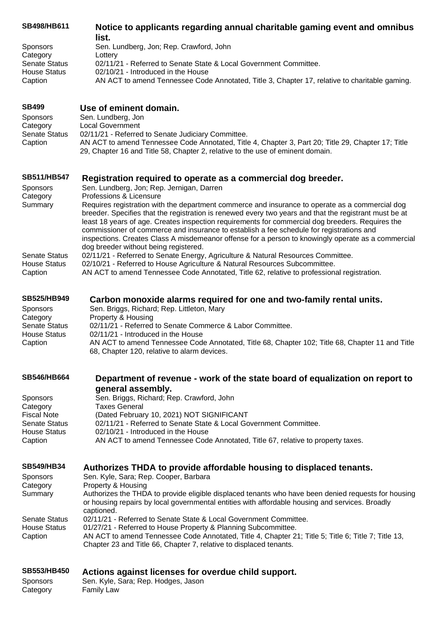| SB498/HB611          | Notice to applicants regarding annual charitable gaming event and omnibus<br>list.                                                                                                                                                                                                                                                                                                                                                                    |
|----------------------|-------------------------------------------------------------------------------------------------------------------------------------------------------------------------------------------------------------------------------------------------------------------------------------------------------------------------------------------------------------------------------------------------------------------------------------------------------|
| <b>Sponsors</b>      | Sen. Lundberg, Jon; Rep. Crawford, John                                                                                                                                                                                                                                                                                                                                                                                                               |
| Category             | Lottery                                                                                                                                                                                                                                                                                                                                                                                                                                               |
| <b>Senate Status</b> | 02/11/21 - Referred to Senate State & Local Government Committee.                                                                                                                                                                                                                                                                                                                                                                                     |
| <b>House Status</b>  | 02/10/21 - Introduced in the House                                                                                                                                                                                                                                                                                                                                                                                                                    |
| Caption              | AN ACT to amend Tennessee Code Annotated, Title 3, Chapter 17, relative to charitable gaming.                                                                                                                                                                                                                                                                                                                                                         |
| <b>SB499</b>         | Use of eminent domain.                                                                                                                                                                                                                                                                                                                                                                                                                                |
| <b>Sponsors</b>      | Sen. Lundberg, Jon                                                                                                                                                                                                                                                                                                                                                                                                                                    |
| Category             | <b>Local Government</b>                                                                                                                                                                                                                                                                                                                                                                                                                               |
| <b>Senate Status</b> | 02/11/21 - Referred to Senate Judiciary Committee.                                                                                                                                                                                                                                                                                                                                                                                                    |
| Caption              | AN ACT to amend Tennessee Code Annotated, Title 4, Chapter 3, Part 20; Title 29, Chapter 17; Title<br>29, Chapter 16 and Title 58, Chapter 2, relative to the use of eminent domain.                                                                                                                                                                                                                                                                  |
| <b>SB511/HB547</b>   | Registration required to operate as a commercial dog breeder.                                                                                                                                                                                                                                                                                                                                                                                         |
| <b>Sponsors</b>      | Sen. Lundberg, Jon; Rep. Jernigan, Darren                                                                                                                                                                                                                                                                                                                                                                                                             |
| Category             | Professions & Licensure                                                                                                                                                                                                                                                                                                                                                                                                                               |
| Summary              | Requires registration with the department commerce and insurance to operate as a commercial dog                                                                                                                                                                                                                                                                                                                                                       |
|                      | breeder. Specifies that the registration is renewed every two years and that the registrant must be at<br>least 18 years of age. Creates inspection requirements for commercial dog breeders. Requires the<br>commissioner of commerce and insurance to establish a fee schedule for registrations and<br>inspections. Creates Class A misdemeanor offense for a person to knowingly operate as a commercial<br>dog breeder without being registered. |
| <b>Senate Status</b> | 02/11/21 - Referred to Senate Energy, Agriculture & Natural Resources Committee.                                                                                                                                                                                                                                                                                                                                                                      |
| <b>House Status</b>  | 02/10/21 - Referred to House Agriculture & Natural Resources Subcommittee.                                                                                                                                                                                                                                                                                                                                                                            |
| Caption              | AN ACT to amend Tennessee Code Annotated, Title 62, relative to professional registration.                                                                                                                                                                                                                                                                                                                                                            |
| <b>SB525/HB949</b>   | Carbon monoxide alarms required for one and two-family rental units.                                                                                                                                                                                                                                                                                                                                                                                  |
| Sponsors             | Sen. Briggs, Richard; Rep. Littleton, Mary                                                                                                                                                                                                                                                                                                                                                                                                            |
| Category             | Property & Housing                                                                                                                                                                                                                                                                                                                                                                                                                                    |
| <b>Senate Status</b> | 02/11/21 - Referred to Senate Commerce & Labor Committee.                                                                                                                                                                                                                                                                                                                                                                                             |
| <b>House Status</b>  | 02/11/21 - Introduced in the House                                                                                                                                                                                                                                                                                                                                                                                                                    |
| Caption              | AN ACT to amend Tennessee Code Annotated, Title 68, Chapter 102; Title 68, Chapter 11 and Title                                                                                                                                                                                                                                                                                                                                                       |
|                      | 68, Chapter 120, relative to alarm devices.                                                                                                                                                                                                                                                                                                                                                                                                           |
| <b>SB546/HB664</b>   | Department of revenue - work of the state board of equalization on report to<br>general assembly.                                                                                                                                                                                                                                                                                                                                                     |
| <b>Sponsors</b>      | Sen. Briggs, Richard; Rep. Crawford, John                                                                                                                                                                                                                                                                                                                                                                                                             |
| Category             | <b>Taxes General</b>                                                                                                                                                                                                                                                                                                                                                                                                                                  |
| <b>Fiscal Note</b>   | (Dated February 10, 2021) NOT SIGNIFICANT                                                                                                                                                                                                                                                                                                                                                                                                             |
| <b>Senate Status</b> | 02/11/21 - Referred to Senate State & Local Government Committee.                                                                                                                                                                                                                                                                                                                                                                                     |
| <b>House Status</b>  | 02/10/21 - Introduced in the House                                                                                                                                                                                                                                                                                                                                                                                                                    |
| Caption              | AN ACT to amend Tennessee Code Annotated, Title 67, relative to property taxes.                                                                                                                                                                                                                                                                                                                                                                       |
| <b>SB549/HB34</b>    | Authorizes THDA to provide affordable housing to displaced tenants.                                                                                                                                                                                                                                                                                                                                                                                   |
| Sponsors             | Sen. Kyle, Sara; Rep. Cooper, Barbara                                                                                                                                                                                                                                                                                                                                                                                                                 |
| Category             | Property & Housing                                                                                                                                                                                                                                                                                                                                                                                                                                    |
| Summary              | Authorizes the THDA to provide eligible displaced tenants who have been denied requests for housing<br>or housing repairs by local governmental entities with affordable housing and services. Broadly<br>captioned.                                                                                                                                                                                                                                  |
| <b>Senate Status</b> | 02/11/21 - Referred to Senate State & Local Government Committee.                                                                                                                                                                                                                                                                                                                                                                                     |
| <b>House Status</b>  | 01/27/21 - Referred to House Property & Planning Subcommittee.                                                                                                                                                                                                                                                                                                                                                                                        |
| Caption              | AN ACT to amend Tennessee Code Annotated, Title 4, Chapter 21; Title 5; Title 6; Title 7; Title 13,<br>Chapter 23 and Title 66, Chapter 7, relative to displaced tenants.                                                                                                                                                                                                                                                                             |
| <b>SB553/HB450</b>   | Actions against licenses for overdue child support.                                                                                                                                                                                                                                                                                                                                                                                                   |
| <b>Sponsors</b>      | Sen. Kyle, Sara; Rep. Hodges, Jason                                                                                                                                                                                                                                                                                                                                                                                                                   |
| Category             | <b>Family Law</b>                                                                                                                                                                                                                                                                                                                                                                                                                                     |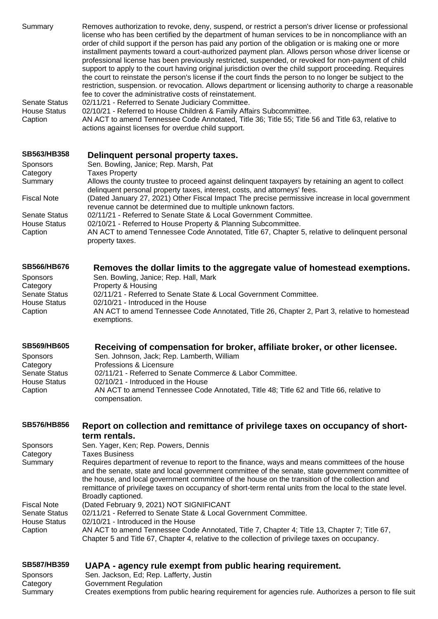Summary Removes authorization to revoke, deny, suspend, or restrict a person's driver license or professional license who has been certified by the department of human services to be in noncompliance with an order of child support if the person has paid any portion of the obligation or is making one or more installment payments toward a court-authorized payment plan. Allows person whose driver license or professional license has been previously restricted, suspended, or revoked for non-payment of child support to apply to the court having original jurisdiction over the child support proceeding. Requires the court to reinstate the person's license if the court finds the person to no longer be subject to the restriction, suspension. or revocation. Allows department or licensing authority to charge a reasonable fee to cover the administrative costs of reinstatement. Senate Status 02/11/21 - Referred to Senate Judiciary Committee. House Status 02/10/21 - Referred to House Children & Family Affairs Subcommittee. Caption AN ACT to amend Tennessee Code Annotated, Title 36; Title 55; Title 56 and Title 63, relative to actions against licenses for overdue child support. **[SB563/HB358](https://tls.mleesmith.com/2021-2022/pdf/SB0563.pdf) [Delinquent personal property taxes.](https://tls.mleesmith.com/2021-2022/pdf/SB0563.pdf)** Sponsors Sen. Bowling, Janice; Rep. Marsh, Pat Category Taxes Property Summary Allows the county trustee to proceed against delinquent taxpayers by retaining an agent to collect delinquent personal property taxes, interest, costs, and attorneys' fees. Fiscal Note (Dated January 27, 2021) Other Fiscal Impact The precise permissive increase in local government revenue cannot be determined due to multiple unknown factors. Senate Status 02/11/21 - Referred to Senate State & Local Government Committee. House Status 02/10/21 - Referred to House Property & Planning Subcommittee. Caption AN ACT to amend Tennessee Code Annotated, Title 67, Chapter 5, relative to delinquent personal property taxes. **[SB566/HB676](https://tls.mleesmith.com/2021-2022/pdf/SB0566.pdf) [Removes the dollar limits to the aggregate value of homestead exemptions.](https://tls.mleesmith.com/2021-2022/pdf/SB0566.pdf)** Sponsors Sen. Bowling, Janice; Rep. Hall, Mark Category Property & Housing Senate Status 02/11/21 - Referred to Senate State & Local Government Committee. House Status 02/10/21 - Introduced in the House Caption AN ACT to amend Tennessee Code Annotated, Title 26, Chapter 2, Part 3, relative to homestead exemptions. **[SB569/HB605](https://tls.mleesmith.com/2021-2022/pdf/SB0569.pdf) [Receiving of compensation for broker, affiliate broker, or other licensee.](https://tls.mleesmith.com/2021-2022/pdf/SB0569.pdf)** Sponsors Sen. Johnson, Jack; Rep. Lamberth, William Category Professions & Licensure Senate Status 02/11/21 - Referred to Senate Commerce & Labor Committee. House Status 02/10/21 - Introduced in the House Caption AN ACT to amend Tennessee Code Annotated, Title 48; Title 62 and Title 66, relative to compensation. **[SB576/HB856](https://tls.mleesmith.com/2021-2022/pdf/SB0576.pdf) Report on collection and remittance of [privilege taxes on occupancy of short](https://tls.mleesmith.com/2021-2022/pdf/SB0576.pdf)[term rentals.](https://tls.mleesmith.com/2021-2022/pdf/SB0576.pdf)** Sponsors Sen. Yager, Ken; Rep. Powers, Dennis Category Taxes Business Summary Requires department of revenue to report to the finance, ways and means committees of the house and the senate, state and local government committee of the senate, state government committee of the house, and local government committee of the house on the transition of the collection and

remittance of privilege taxes on occupancy of short-term rental units from the local to the state level. Broadly captioned.

Fiscal Note (Dated February 9, 2021) NOT SIGNIFICANT Senate Status 02/11/21 - Referred to Senate State & Local Government Committee. House Status 02/10/21 - Introduced in the House Caption AN ACT to amend Tennessee Code Annotated, Title 7, Chapter 4; Title 13, Chapter 7; Title 67, Chapter 5 and Title 67, Chapter 4, relative to the collection of privilege taxes on occupancy.

**[SB587/HB359](https://tls.mleesmith.com/2021-2022/pdf/SB0587.pdf) UAPA - [agency rule exempt from public hearing requirement.](https://tls.mleesmith.com/2021-2022/pdf/SB0587.pdf)** Sponsors Sen. Jackson, Ed; Rep. Lafferty, Justin Category Government Regulation Summary Creates exemptions from public hearing requirement for agencies rule. Authorizes a person to file suit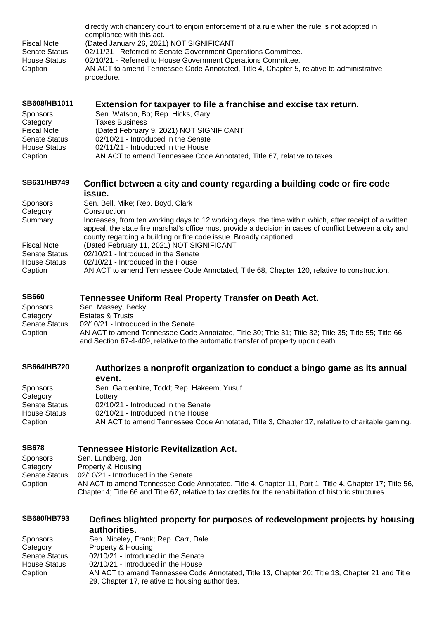| <b>Fiscal Note</b><br><b>Senate Status</b><br><b>House Status</b><br>Caption                                                | directly with chancery court to enjoin enforcement of a rule when the rule is not adopted in<br>compliance with this act.<br>(Dated January 26, 2021) NOT SIGNIFICANT<br>02/11/21 - Referred to Senate Government Operations Committee.<br>02/10/21 - Referred to House Government Operations Committee.<br>AN ACT to amend Tennessee Code Annotated, Title 4, Chapter 5, relative to administrative<br>procedure.                                                                                                                                                             |
|-----------------------------------------------------------------------------------------------------------------------------|--------------------------------------------------------------------------------------------------------------------------------------------------------------------------------------------------------------------------------------------------------------------------------------------------------------------------------------------------------------------------------------------------------------------------------------------------------------------------------------------------------------------------------------------------------------------------------|
| SB608/HB1011<br><b>Sponsors</b><br>Category<br><b>Fiscal Note</b><br><b>Senate Status</b><br><b>House Status</b><br>Caption | Extension for taxpayer to file a franchise and excise tax return.<br>Sen. Watson, Bo; Rep. Hicks, Gary<br><b>Taxes Business</b><br>(Dated February 9, 2021) NOT SIGNIFICANT<br>02/10/21 - Introduced in the Senate<br>02/11/21 - Introduced in the House<br>AN ACT to amend Tennessee Code Annotated, Title 67, relative to taxes.                                                                                                                                                                                                                                             |
| SB631/HB749                                                                                                                 | Conflict between a city and county regarding a building code or fire code                                                                                                                                                                                                                                                                                                                                                                                                                                                                                                      |
| <b>Sponsors</b><br>Category<br>Summary<br><b>Fiscal Note</b><br><b>Senate Status</b><br><b>House Status</b><br>Caption      | issue.<br>Sen. Bell, Mike; Rep. Boyd, Clark<br>Construction<br>Increases, from ten working days to 12 working days, the time within which, after receipt of a written<br>appeal, the state fire marshal's office must provide a decision in cases of conflict between a city and<br>county regarding a building or fire code issue. Broadly captioned.<br>(Dated February 11, 2021) NOT SIGNIFICANT<br>02/10/21 - Introduced in the Senate<br>02/10/21 - Introduced in the House<br>AN ACT to amend Tennessee Code Annotated, Title 68, Chapter 120, relative to construction. |
| <b>SB660</b><br>Sponsors<br>Category<br><b>Senate Status</b><br>Caption                                                     | <b>Tennessee Uniform Real Property Transfer on Death Act.</b><br>Sen. Massey, Becky<br><b>Estates &amp; Trusts</b><br>02/10/21 - Introduced in the Senate<br>AN ACT to amend Tennessee Code Annotated, Title 30; Title 31; Title 32; Title 35; Title 55; Title 66<br>and Section 67-4-409, relative to the automatic transfer of property upon death.                                                                                                                                                                                                                          |
| <b>SB664/HB720</b><br>Sponsors<br>Category<br><b>Senate Status</b><br><b>House Status</b><br>Caption                        | Authorizes a nonprofit organization to conduct a bingo game as its annual<br>event.<br>Sen. Gardenhire, Todd; Rep. Hakeem, Yusuf<br>Lottery<br>02/10/21 - Introduced in the Senate<br>02/10/21 - Introduced in the House<br>AN ACT to amend Tennessee Code Annotated, Title 3, Chapter 17, relative to charitable gaming.                                                                                                                                                                                                                                                      |
|                                                                                                                             |                                                                                                                                                                                                                                                                                                                                                                                                                                                                                                                                                                                |

**[SB678](https://tls.mleesmith.com/2021-2022/pdf/SB0678.pdf) [Tennessee Historic Revitalization Act.](https://tls.mleesmith.com/2021-2022/pdf/SB0678.pdf)** Sen. Lundberg, Jon Category Property & Housing<br>Senate Status 02/10/21 - Introduce Senate Status 02/10/21 - Introduced in the Senate<br>Caption AN ACT to amend Tennessee Code AN ACT to amend Tennessee Code Annotated, Title 4, Chapter 11, Part 1; Title 4, Chapter 17; Title 56, Chapter 4; Title 66 and Title 67, relative to tax credits for the rehabilitation of historic structures.

| <b>SB680/HB793</b> | Defines blighted property for purposes of redevelopment projects by housing                    |
|--------------------|------------------------------------------------------------------------------------------------|
|                    | authorities.                                                                                   |
| <b>Sponsors</b>    | Sen. Niceley, Frank; Rep. Carr, Dale                                                           |
| Category           | Property & Housing                                                                             |
| Senate Status      | 02/10/21 - Introduced in the Senate                                                            |
| House Status       | 02/10/21 - Introduced in the House                                                             |
| Caption            | AN ACT to amend Tennessee Code Annotated, Title 13, Chapter 20; Title 13, Chapter 21 and Title |
|                    | 29, Chapter 17, relative to housing authorities.                                               |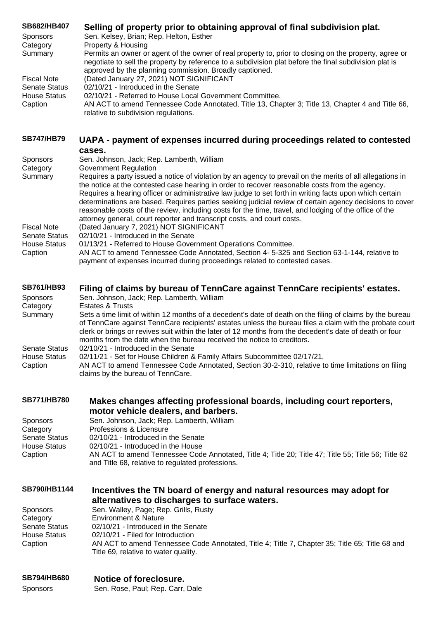| SB682/HB407<br>Sponsors                          | Selling of property prior to obtaining approval of final subdivision plat.<br>Sen. Kelsey, Brian; Rep. Helton, Esther<br>Property & Housing                                                                                                                                                                                                                                                                                                                                                                                                                                                                            |
|--------------------------------------------------|------------------------------------------------------------------------------------------------------------------------------------------------------------------------------------------------------------------------------------------------------------------------------------------------------------------------------------------------------------------------------------------------------------------------------------------------------------------------------------------------------------------------------------------------------------------------------------------------------------------------|
| Category<br>Summary                              | Permits an owner or agent of the owner of real property to, prior to closing on the property, agree or<br>negotiate to sell the property by reference to a subdivision plat before the final subdivision plat is<br>approved by the planning commission. Broadly captioned.                                                                                                                                                                                                                                                                                                                                            |
| <b>Fiscal Note</b><br><b>Senate Status</b>       | (Dated January 27, 2021) NOT SIGNIFICANT<br>02/10/21 - Introduced in the Senate                                                                                                                                                                                                                                                                                                                                                                                                                                                                                                                                        |
| <b>House Status</b><br>Caption                   | 02/10/21 - Referred to House Local Government Committee.<br>AN ACT to amend Tennessee Code Annotated, Title 13, Chapter 3; Title 13, Chapter 4 and Title 66,<br>relative to subdivision regulations.                                                                                                                                                                                                                                                                                                                                                                                                                   |
| <b>SB747/HB79</b>                                | UAPA - payment of expenses incurred during proceedings related to contested<br>cases.                                                                                                                                                                                                                                                                                                                                                                                                                                                                                                                                  |
| <b>Sponsors</b><br>Category                      | Sen. Johnson, Jack; Rep. Lamberth, William<br><b>Government Regulation</b>                                                                                                                                                                                                                                                                                                                                                                                                                                                                                                                                             |
| Summary                                          | Requires a party issued a notice of violation by an agency to prevail on the merits of all allegations in<br>the notice at the contested case hearing in order to recover reasonable costs from the agency.<br>Requires a hearing officer or administrative law judge to set forth in writing facts upon which certain<br>determinations are based. Requires parties seeking judicial review of certain agency decisions to cover<br>reasonable costs of the review, including costs for the time, travel, and lodging of the office of the<br>attorney general, court reporter and transcript costs, and court costs. |
| <b>Fiscal Note</b><br><b>Senate Status</b>       | (Dated January 7, 2021) NOT SIGNIFICANT<br>02/10/21 - Introduced in the Senate                                                                                                                                                                                                                                                                                                                                                                                                                                                                                                                                         |
| <b>House Status</b><br>Caption                   | 01/13/21 - Referred to House Government Operations Committee.<br>AN ACT to amend Tennessee Code Annotated, Section 4-5-325 and Section 63-1-144, relative to<br>payment of expenses incurred during proceedings related to contested cases.                                                                                                                                                                                                                                                                                                                                                                            |
| <b>SB761/HB93</b><br><b>Sponsors</b><br>Category | Filing of claims by bureau of TennCare against TennCare recipients' estates.<br>Sen. Johnson, Jack; Rep. Lamberth, William<br><b>Estates &amp; Trusts</b>                                                                                                                                                                                                                                                                                                                                                                                                                                                              |
| Summary                                          | Sets a time limit of within 12 months of a decedent's date of death on the filing of claims by the bureau<br>of TennCare against TennCare recipients' estates unless the bureau files a claim with the probate court<br>clerk or brings or revives suit within the later of 12 months from the decedent's date of death or four<br>months from the date when the bureau received the notice to creditors.                                                                                                                                                                                                              |
| Senate Status<br><b>House Status</b><br>Caption  | 02/10/21 - Introduced in the Senate<br>02/11/21 - Set for House Children & Family Affairs Subcommittee 02/17/21.<br>AN ACT to amend Tennessee Code Annotated, Section 30-2-310, relative to time limitations on filing                                                                                                                                                                                                                                                                                                                                                                                                 |
|                                                  | claims by the bureau of TennCare.                                                                                                                                                                                                                                                                                                                                                                                                                                                                                                                                                                                      |
| <b>SB771/HB780</b>                               | Makes changes affecting professional boards, including court reporters,<br>motor vehicle dealers, and barbers.                                                                                                                                                                                                                                                                                                                                                                                                                                                                                                         |
| Sponsors<br>Category                             | Sen. Johnson, Jack; Rep. Lamberth, William<br>Professions & Licensure                                                                                                                                                                                                                                                                                                                                                                                                                                                                                                                                                  |
| <b>Senate Status</b><br><b>House Status</b>      | 02/10/21 - Introduced in the Senate<br>02/10/21 - Introduced in the House                                                                                                                                                                                                                                                                                                                                                                                                                                                                                                                                              |
| Caption                                          | AN ACT to amend Tennessee Code Annotated, Title 4; Title 20; Title 47; Title 55; Title 56; Title 62<br>and Title 68, relative to regulated professions.                                                                                                                                                                                                                                                                                                                                                                                                                                                                |
| SB790/HB1144                                     | Incentives the TN board of energy and natural resources may adopt for<br>alternatives to discharges to surface waters.                                                                                                                                                                                                                                                                                                                                                                                                                                                                                                 |
| Sponsors<br>Category                             | Sen. Walley, Page; Rep. Grills, Rusty<br><b>Environment &amp; Nature</b>                                                                                                                                                                                                                                                                                                                                                                                                                                                                                                                                               |
| <b>Senate Status</b><br><b>House Status</b>      | 02/10/21 - Introduced in the Senate<br>02/10/21 - Filed for Introduction                                                                                                                                                                                                                                                                                                                                                                                                                                                                                                                                               |
| Caption                                          | AN ACT to amend Tennessee Code Annotated, Title 4; Title 7, Chapter 35; Title 65; Title 68 and<br>Title 69, relative to water quality.                                                                                                                                                                                                                                                                                                                                                                                                                                                                                 |
|                                                  |                                                                                                                                                                                                                                                                                                                                                                                                                                                                                                                                                                                                                        |

| <b>SB794/HB680</b> | Notice of foreclosure.           |
|--------------------|----------------------------------|
| Sponsors           | Sen. Rose, Paul; Rep. Carr, Dale |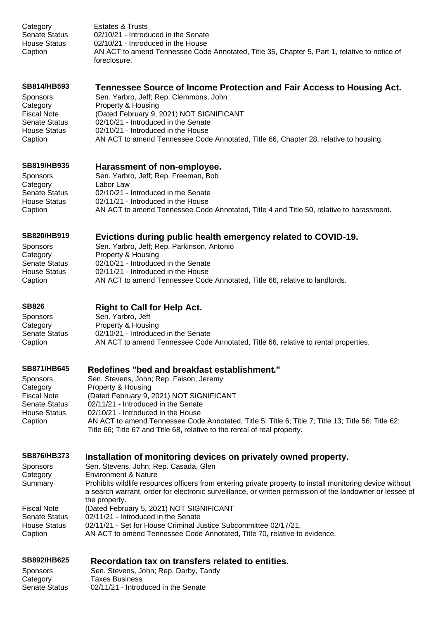Category Estates & Trusts Senate Status 02/10/21 - Introduced in the Senate House Status 02/10/21 - Introduced in the House Caption AN ACT to amend Tennessee Code Annotated, Title 35, Chapter 5, Part 1, relative to notice of foreclosure.

# **[SB814/HB593](https://tls.mleesmith.com/2021-2022/pdf/SB0814.pdf) [Tennessee Source of Income Protection and Fair Access to Housing Act.](https://tls.mleesmith.com/2021-2022/pdf/SB0814.pdf)**

Sponsors Sen. Yarbro, Jeff; Rep. Clemmons, John Category **Property & Housing** Fiscal Note (Dated February 9, 2021) NOT SIGNIFICANT Senate Status 02/10/21 - Introduced in the Senate House Status 02/10/21 - Introduced in the House Caption AN ACT to amend Tennessee Code Annotated, Title 66, Chapter 28, relative to housing.

# **[SB819/HB935](https://tls.mleesmith.com/2021-2022/pdf/SB0819.pdf) [Harassment of non-employee.](https://tls.mleesmith.com/2021-2022/pdf/SB0819.pdf)**

Category Labor Law

Sponsors Sen. Yarbro, Jeff; Rep. Freeman, Bob Senate Status 02/10/21 - Introduced in the Senate House Status 02/11/21 - Introduced in the House Caption AN ACT to amend Tennessee Code Annotated, Title 4 and Title 50, relative to harassment.

#### **[SB820/HB919](https://tls.mleesmith.com/2021-2022/pdf/SB0820.pdf) [Evictions during public health emergency related to COVID-19.](https://tls.mleesmith.com/2021-2022/pdf/SB0820.pdf)**

Sponsors Sen. Yarbro, Jeff; Rep. Parkinson, Antonio Category Property & Housing Senate Status 02/10/21 - Introduced in the Senate House Status 02/11/21 - Introduced in the House Caption AN ACT to amend Tennessee Code Annotated, Title 66, relative to landlords.

# **[SB826](https://tls.mleesmith.com/2021-2022/pdf/SB0826.pdf) [Right to Call for Help Act.](https://tls.mleesmith.com/2021-2022/pdf/SB0826.pdf)**

Sponsors Sen. Yarbro, Jeff Category **Property & Housing** Senate Status 02/10/21 - Introduced in the Senate Caption AN ACT to amend Tennessee Code Annotated, Title 66, relative to rental properties.

#### **[SB871/HB645](https://tls.mleesmith.com/2021-2022/pdf/SB0871.pdf) [Redefines "bed and breakfast establishment."](https://tls.mleesmith.com/2021-2022/pdf/SB0871.pdf)**

| Sen. Stevens, John; Rep. Faison, Jeremy                                                                                                                                         |
|---------------------------------------------------------------------------------------------------------------------------------------------------------------------------------|
| Property & Housing                                                                                                                                                              |
| (Dated February 9, 2021) NOT SIGNIFICANT                                                                                                                                        |
| 02/11/21 - Introduced in the Senate                                                                                                                                             |
| 02/10/21 - Introduced in the House                                                                                                                                              |
| AN ACT to amend Tennessee Code Annotated, Title 5; Title 6; Title 7; Title 13; Title 56; Title 62;<br>Title 66; Title 67 and Title 68, relative to the rental of real property. |
|                                                                                                                                                                                 |

# **[SB876/HB373](https://tls.mleesmith.com/2021-2022/pdf/SB0876.pdf) [Installation of monitoring devices on privately owned property.](https://tls.mleesmith.com/2021-2022/pdf/SB0876.pdf)**

| <b>Sponsors</b>      | Sen. Stevens, John; Rep. Casada, Glen                                                                     |
|----------------------|-----------------------------------------------------------------------------------------------------------|
| Category             | Environment & Nature                                                                                      |
| Summary              | Prohibits wildlife resources officers from entering private property to install monitoring device without |
|                      | a search warrant, order for electronic surveillance, or written permission of the landowner or lessee of  |
|                      | the property.                                                                                             |
| <b>Fiscal Note</b>   | (Dated February 5, 2021) NOT SIGNIFICANT                                                                  |
| <b>Senate Status</b> | 02/11/21 - Introduced in the Senate                                                                       |
| <b>House Status</b>  | 02/11/21 - Set for House Criminal Justice Subcommittee 02/17/21.                                          |
| Caption              | AN ACT to amend Tennessee Code Annotated, Title 70, relative to evidence.                                 |

# **[SB892/HB625](https://tls.mleesmith.com/2021-2022/pdf/SB0892.pdf) [Recordation tax on transfers related to entities.](https://tls.mleesmith.com/2021-2022/pdf/SB0892.pdf)**

| <b>Sponsors</b> | Sen. Stevens, John; Rep. Darby, Tandy |
|-----------------|---------------------------------------|
| Category        | <b>Taxes Business</b>                 |
| Senate Status   | 02/11/21 - Introduced in the Senate   |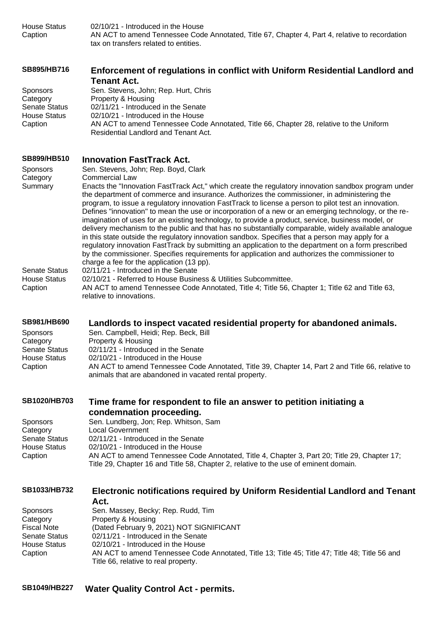House Status 02/10/21 - Introduced in the House Caption AN ACT to amend Tennessee Code Annotated, Title 67, Chapter 4, Part 4, relative to recordation tax on transfers related to entities.

| <b>SB895/HB716</b> | Enforcement of regulations in conflict with Uniform Residential Landlord and |
|--------------------|------------------------------------------------------------------------------|
|                    | Tenant Act.                                                                  |
|                    |                                                                              |

| <b>Sponsors</b>      | Sen. Stevens, John; Rep. Hurt, Chris                                                    |
|----------------------|-----------------------------------------------------------------------------------------|
| Category             | Property & Housing                                                                      |
| <b>Senate Status</b> | 02/11/21 - Introduced in the Senate                                                     |
| <b>House Status</b>  | 02/10/21 - Introduced in the House                                                      |
| Caption              | AN ACT to amend Tennessee Code Annotated, Title 66, Chapter 28, relative to the Uniform |
|                      | Residential Landlord and Tenant Act.                                                    |

#### **[SB899/HB510](https://tls.mleesmith.com/2021-2022/pdf/SB0899.pdf) [Innovation FastTrack Act.](https://tls.mleesmith.com/2021-2022/pdf/SB0899.pdf)**

| Sponsors<br>Category<br>Summary<br><b>Senate Status</b><br><b>House Status</b><br>Caption                                          | Sen. Stevens, John; Rep. Boyd, Clark<br><b>Commercial Law</b><br>Enacts the "Innovation FastTrack Act," which create the regulatory innovation sandbox program under<br>the department of commerce and insurance. Authorizes the commissioner, in administering the<br>program, to issue a regulatory innovation FastTrack to license a person to pilot test an innovation.<br>Defines "innovation" to mean the use or incorporation of a new or an emerging technology, or the re-<br>imagination of uses for an existing technology, to provide a product, service, business model, or<br>delivery mechanism to the public and that has no substantially comparable, widely available analogue<br>in this state outside the regulatory innovation sandbox. Specifies that a person may apply for a<br>regulatory innovation FastTrack by submitting an application to the department on a form prescribed<br>by the commissioner. Specifies requirements for application and authorizes the commissioner to<br>charge a fee for the application (13 pp).<br>02/11/21 - Introduced in the Senate<br>02/10/21 - Referred to House Business & Utilities Subcommittee.<br>AN ACT to amend Tennessee Code Annotated, Title 4; Title 56, Chapter 1; Title 62 and Title 63,<br>relative to innovations. |
|------------------------------------------------------------------------------------------------------------------------------------|----------------------------------------------------------------------------------------------------------------------------------------------------------------------------------------------------------------------------------------------------------------------------------------------------------------------------------------------------------------------------------------------------------------------------------------------------------------------------------------------------------------------------------------------------------------------------------------------------------------------------------------------------------------------------------------------------------------------------------------------------------------------------------------------------------------------------------------------------------------------------------------------------------------------------------------------------------------------------------------------------------------------------------------------------------------------------------------------------------------------------------------------------------------------------------------------------------------------------------------------------------------------------------------------------|
| SB981/HB690<br>Sponsors<br>Category<br><b>Senate Status</b><br><b>House Status</b><br>Caption                                      | Landlords to inspect vacated residential property for abandoned animals.<br>Sen. Campbell, Heidi; Rep. Beck, Bill<br>Property & Housing<br>02/11/21 - Introduced in the Senate<br>02/10/21 - Introduced in the House<br>AN ACT to amend Tennessee Code Annotated, Title 39, Chapter 14, Part 2 and Title 66, relative to<br>animals that are abandoned in vacated rental property.                                                                                                                                                                                                                                                                                                                                                                                                                                                                                                                                                                                                                                                                                                                                                                                                                                                                                                                 |
| <b>SB1020/HB703</b><br>Sponsors<br>Category<br><b>Senate Status</b><br><b>House Status</b><br>Caption                              | Time frame for respondent to file an answer to petition initiating a<br>condemnation proceeding.<br>Sen. Lundberg, Jon; Rep. Whitson, Sam<br><b>Local Government</b><br>02/11/21 - Introduced in the Senate<br>02/10/21 - Introduced in the House<br>AN ACT to amend Tennessee Code Annotated, Title 4, Chapter 3, Part 20; Title 29, Chapter 17;<br>Title 29, Chapter 16 and Title 58, Chapter 2, relative to the use of eminent domain.                                                                                                                                                                                                                                                                                                                                                                                                                                                                                                                                                                                                                                                                                                                                                                                                                                                          |
| <b>SB1033/HB732</b><br><b>Sponsors</b><br>Category<br><b>Fiscal Note</b><br><b>Senate Status</b><br><b>House Status</b><br>Caption | Electronic notifications required by Uniform Residential Landlord and Tenant<br>Act.<br>Sen. Massey, Becky; Rep. Rudd, Tim<br>Property & Housing<br>(Dated February 9, 2021) NOT SIGNIFICANT<br>02/11/21 - Introduced in the Senate<br>02/10/21 - Introduced in the House<br>AN ACT to amend Tennessee Code Annotated, Title 13; Title 45; Title 47; Title 48; Title 56 and                                                                                                                                                                                                                                                                                                                                                                                                                                                                                                                                                                                                                                                                                                                                                                                                                                                                                                                        |

Title 66, relative to real property.